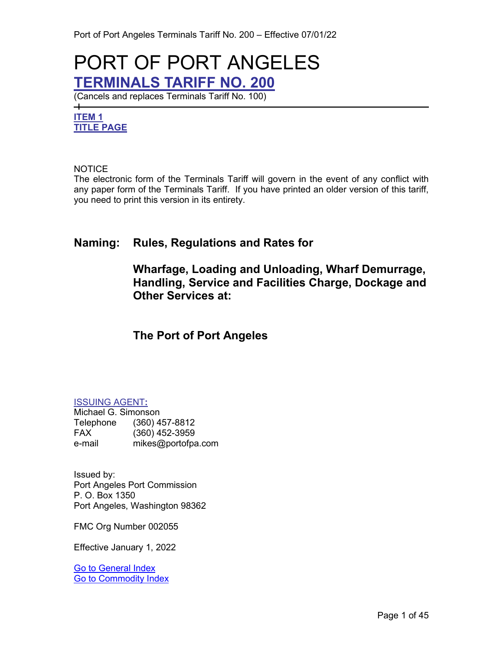# PORT OF PORT ANGELES **TERMINALS TARIFF NO. 200**

(Cancels and replaces Terminals Tariff No. 100)

# <span id="page-0-2"></span><span id="page-0-0"></span>**ITEM 1 TITLE PAGE**

 $\overline{\phantom{0}}$ 

#### NOTICE

The electronic form of the Terminals Tariff will govern in the event of any conflict with any paper form of the Terminals Tariff. If you have printed an older version of this tariff, you need to print this version in its entirety.

# **Naming: Rules, Regulations and Rates for**

# **Wharfage, Loading and Unloading, Wharf Demurrage, Handling, Service and Facilities Charge, Dockage and Other Services at:**

# **The Port of Port Angeles**

#### <span id="page-0-1"></span>ISSUING AGENT**:**

Michael G. Simonson Telephone (360) 457-8812 FAX (360) 452-3959 e-mail mikes@portofpa.com

Issued by: Port Angeles Port Commission P. O. Box 1350 Port Angeles, Washington 98362

FMC Org Number 002055

Effective January 1, 2022

[Go to General Index](#page-3-0) [Go to Commodity Index](#page-6-0)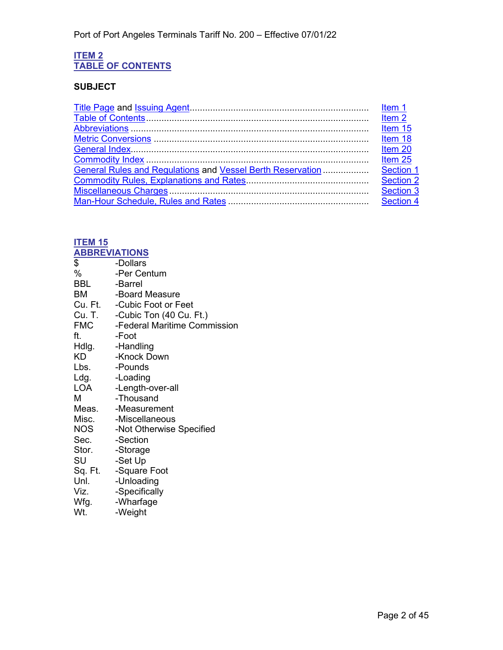#### <span id="page-1-1"></span><span id="page-1-0"></span>**ITEM 2 TABLE OF CONTENTS**

# **SUBJECT**

|                                                            | Item <sub>2</sub> |
|------------------------------------------------------------|-------------------|
|                                                            | Item 15           |
|                                                            | Item 18           |
|                                                            | Item 20           |
|                                                            | Item 25           |
| General Rules and Regulations and Vessel Berth Reservation | Section 1         |
|                                                            | Section 2         |
|                                                            | <b>Section 3</b>  |
|                                                            | Section 4         |
|                                                            |                   |

# <span id="page-1-3"></span>**ITEM 15**

<span id="page-1-2"></span>

| <u>ABBREVIATIONS</u> |                                          |
|----------------------|------------------------------------------|
| \$                   | -Dollars                                 |
| %                    | -Per Centum                              |
| <b>BBL</b>           | -Barrel                                  |
| BM                   | -Board Measure                           |
|                      | Cu. Ft. - Cubic Foot or Feet             |
|                      | Cu. T. -Cubic Ton (40 Cu. Ft.)           |
|                      | <b>FMC</b> - Federal Maritime Commission |
| ft.                  | -Foot                                    |
|                      | Hdlg. - Handling                         |
| KD                   | -Knock Down                              |
| Lbs.                 | -Pounds                                  |
| Ldg.                 | -Loading                                 |
| LOA                  | -Length-over-all                         |
| м                    | -Thousand                                |
|                      | Meas. - Measurement                      |
|                      | Misc. - Miscellaneous                    |
| <b>NOS</b>           | -Not Otherwise Specified                 |
| Sec.                 | -Section                                 |
| Stor. - Storage      |                                          |
| SU                   | -Set Up                                  |
|                      | Sq. Ft. - Square Foot                    |
| Unl.                 | -Unloading                               |
| Viz.                 | -Specifically                            |
| Wfg.                 | -Wharfage                                |
| Wt.                  | -Weight                                  |
|                      |                                          |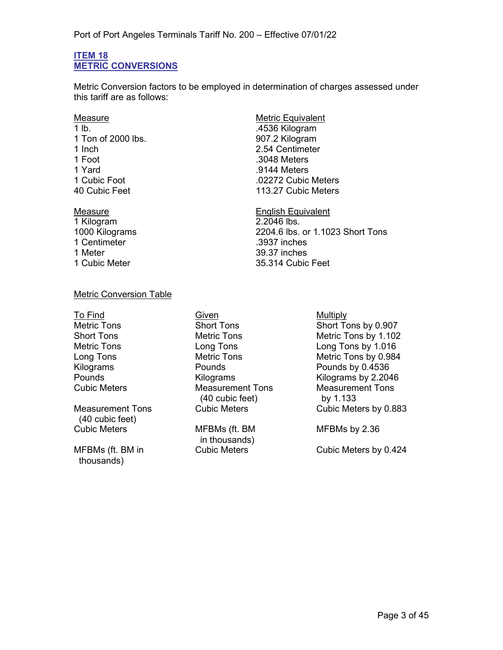#### <span id="page-2-1"></span><span id="page-2-0"></span>**ITEM 18 METRIC CONVERSIONS**

Metric Conversion factors to be employed in determination of charges assessed under this tariff are as follows:

1 lb. .4536 Kilogram 1 Ton of 2000 lbs. 1 Inch 2.54 Centimeter<br>1 Foot 3048 Meters 1 Yard .9144 Meters

1 Kilogram 1 Centimeter .3937 inches

# Measure **Measure Community** Metric Equivalent .3048 Meters .02272 Cubic Meters 40 Cubic Feet 113.27 Cubic Meters

Measure English Equivalent 1000 Kilograms 2204.6 lbs. or 1.1023 Short Tons 39.37 inches 1 Cubic Meter 35.314 Cubic Feet

#### Metric Conversion Table

Measurement Tons (40 cubic feet) Cubic Meters MFBMs (ft. BM

MFBMs (ft. BM in thousands)

To Find Given Given Contact Multiply Cubic Meters Measurement Tons (40 cubic feet)

in thousands)<br>Cubic Meters

Metric Tons **Short Tons** Short Tons Short Tons by 0.907 Short Tons Metric Tons Metric Tons Metric Tons by 1.102 Metric Tons Long Tons Long Tons by 1.016 Long Tons Metric Tons Metric Tons by 0.984 Pounds by 0.4536 Pounds **Example 2.2046** Kilograms **Kilograms** Kilograms by 2.2046 Measurement Tons by 1.133 Cubic Meters by 0.883

MFBMs by 2.36

Cubic Meters by 0.424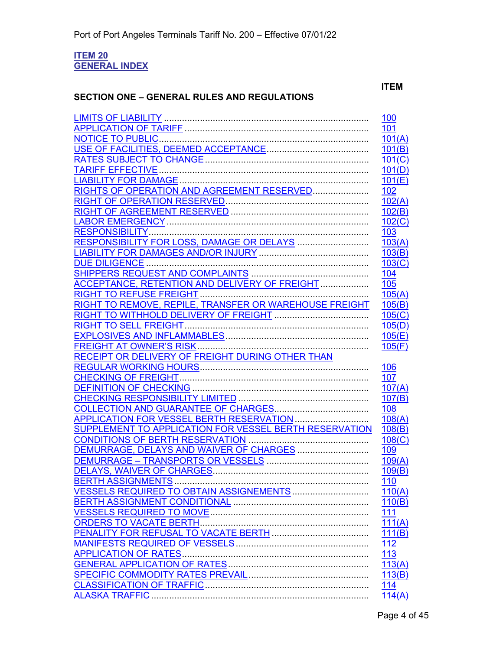#### <span id="page-3-1"></span><span id="page-3-0"></span>**ITEM 20 GENERAL INDEX**

### **SECTION ONE – GENERAL RULES AND REGULATIONS**

#### **ITEM**

|                                                        | 100           |
|--------------------------------------------------------|---------------|
|                                                        | 101           |
|                                                        | 101(A)        |
|                                                        | 101(B)        |
|                                                        | 101(C)        |
|                                                        | 101(D)        |
|                                                        | 101(E)        |
|                                                        | 102           |
|                                                        | 102(A)        |
|                                                        | 102(B)        |
|                                                        | 102(C)        |
|                                                        | 103           |
|                                                        | 103(A)        |
|                                                        | 103(B)        |
| DUE DILIGENCE                                          | 103(C)        |
|                                                        | 104           |
| ACCEPTANCE, RETENTION AND DELIVERY OF FREIGHT          | 105           |
|                                                        | 105(A)        |
| RIGHT TO REMOVE, REPILE, TRANSFER OR WAREHOUSE FREIGHT | 105(B)        |
|                                                        | 105(C)        |
|                                                        | 105(D)        |
|                                                        | 105(E)        |
|                                                        | 105(F)        |
| RECEIPT OR DELIVERY OF FREIGHT DURING OTHER THAN       |               |
|                                                        | 106           |
|                                                        |               |
|                                                        |               |
|                                                        | 107           |
|                                                        | 107(A)        |
|                                                        | 107(B)        |
|                                                        | 108           |
| APPLICATION FOR VESSEL BERTH RESERVATION               | 108(A)        |
| SUPPLEMENT TO APPLICATION FOR VESSEL BERTH RESERVATION | 108(B)        |
|                                                        | 108(C)        |
| DEMURRAGE, DELAYS AND WAIVER OF CHARGES                | 109           |
|                                                        | 109(A)        |
|                                                        | 109(B)        |
|                                                        | 110           |
| VESSELS REQUIRED TO OBTAIN ASSIGNEMENTS                | 110(A)        |
|                                                        | 110(B)        |
|                                                        | 111           |
|                                                        |               |
|                                                        | 111(A)        |
|                                                        | 111(B)        |
| <b>APPLICATION OF RATES</b>                            | <u>112</u>    |
|                                                        | 113           |
|                                                        | 113(A)        |
|                                                        | 113(B)        |
|                                                        | 114<br>114(A) |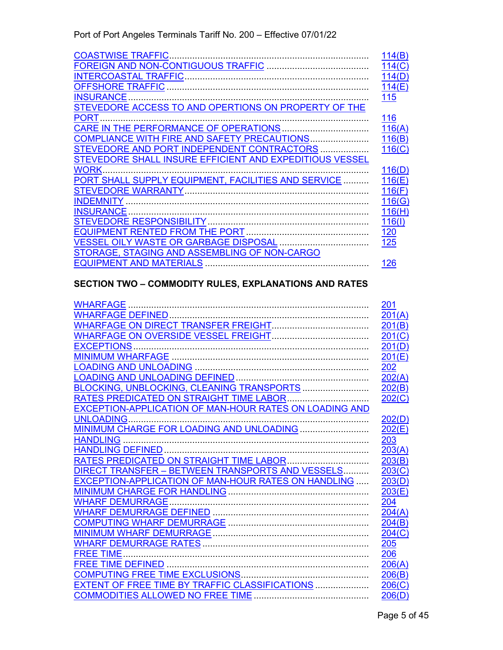Port of Port Angeles Terminals Tariff No. 200 – Effective 07/01/22

| <b>COASTWISE TRAFFIC</b>                                | 114(B)     |
|---------------------------------------------------------|------------|
|                                                         | 114(C)     |
|                                                         | 114(D)     |
| <b>OFFSHORE TRAFFIC</b>                                 | 114(E)     |
| <b>INSURANCE</b>                                        | 115        |
| STEVEDORE ACCESS TO AND OPERTIONS ON PROPERTY OF THE    |            |
| <b>PORT</b>                                             | 116        |
| CARE IN THE PERFORMANCE OF OPERATIONS                   | 116(A)     |
| COMPLIANCE WITH FIRE AND SAFETY PRECAUTIONS             | 116(B)     |
| STEVEDORE AND PORT INDEPENDENT CONTRACTORS              | 116(C)     |
| STEVEDORE SHALL INSURE EFFICIENT AND EXPEDITIOUS VESSEL |            |
| <b>WORK</b>                                             | 116(D)     |
| PORT SHALL SUPPLY EQUIPMENT, FACILITIES AND SERVICE     | 116(E)     |
| STEVEDORE WARRANTY                                      | 116(F)     |
| <b>INDEMNITY</b>                                        | 116(G)     |
| <b>INSURANCE</b>                                        | 116(H)     |
|                                                         | 116(1)     |
|                                                         | <u>120</u> |
|                                                         | 125        |
| STORAGE, STAGING AND ASSEMBLING OF NON-CARGO            |            |
| <b>EQUIPMENT AND MATERIALS</b>                          | 126        |

# **SECTION TWO – COMMODITY RULES, EXPLANATIONS AND RATES**

|                                                        | <u>201</u> |
|--------------------------------------------------------|------------|
|                                                        | 201(A)     |
|                                                        | 201(B)     |
|                                                        | 201(C)     |
|                                                        | 201(D)     |
|                                                        | 201(E)     |
|                                                        | 202        |
|                                                        | 202(A)     |
| BLOCKING, UNBLOCKING, CLEANING TRANSPORTS              | 202(B)     |
| RATES PREDICATED ON STRAIGHT TIME LABOR                | 202(C)     |
| EXCEPTION-APPLICATION OF MAN-HOUR RATES ON LOADING AND |            |
| <b>UNLOADING.</b>                                      | 202(D)     |
|                                                        | 202(E)     |
|                                                        | 203        |
|                                                        | 203(A)     |
|                                                        | 203(B)     |
| DIRECT TRANSFER - BETWEEN TRANSPORTS AND VESSELS       | 203(C)     |
| EXCEPTION-APPLICATION OF MAN-HOUR RATES ON HANDLING    | 203(D)     |
|                                                        | 203(E)     |
|                                                        | 204        |
|                                                        | 204(A)     |
|                                                        | 204(B)     |
|                                                        | 204(C)     |
|                                                        | 205        |
|                                                        | 206        |
|                                                        | 206(A)     |
|                                                        | 206(B)     |
| EXTENT OF FREE TIME BY TRAFFIC CLASSIFICATIONS         | 206(C)     |
|                                                        | 206(D)     |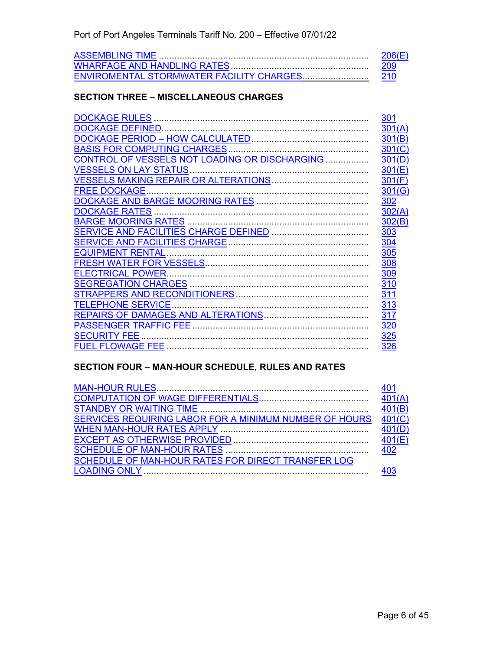## **SECTION THREE – MISCELLANEOUS CHARGES**

|                                               | 301        |
|-----------------------------------------------|------------|
| DOCKAGE DEFINED                               | 301(A)     |
|                                               | 301(B)     |
| <b>BASIS FOR COMPUTING CHARGES</b>            | 301(C)     |
| CONTROL OF VESSELS NOT LOADING OR DISCHARGING | 301(D)     |
| <b>VESSELS ON LAY STATUS.</b>                 | 301(E)     |
|                                               | 301(F)     |
| <b>FREE DOCKAGE</b>                           | 301(G)     |
|                                               | <u>302</u> |
| <b>DOCKAGE RATES</b>                          | 302(A)     |
|                                               | 302(B)     |
|                                               | <u>303</u> |
|                                               | 304        |
| <b>EQUIPMENT RENTAL</b>                       | <b>305</b> |
|                                               | 308        |
| <b>ELECTRICAL POWER.</b>                      | 309        |
|                                               | 310        |
|                                               | 311        |
| <b>TELEPHONE SERVICE</b>                      | 313        |
|                                               | <u>317</u> |
|                                               | 320        |
| <b>SECURITY FEE</b>                           | 325        |
|                                               | 326        |
|                                               |            |

### **SECTION FOUR – MAN-HOUR SCHEDULE, RULES AND RATES**

| SERVICES REQUIRING LABOR FOR A MINIMUM NUMBER OF HOURS | 401(C) |
|--------------------------------------------------------|--------|
|                                                        | 401(D) |
|                                                        |        |
|                                                        |        |
| SCHEDULE OF MAN-HOUR RATES FOR DIRECT TRANSFER LOG     |        |
|                                                        |        |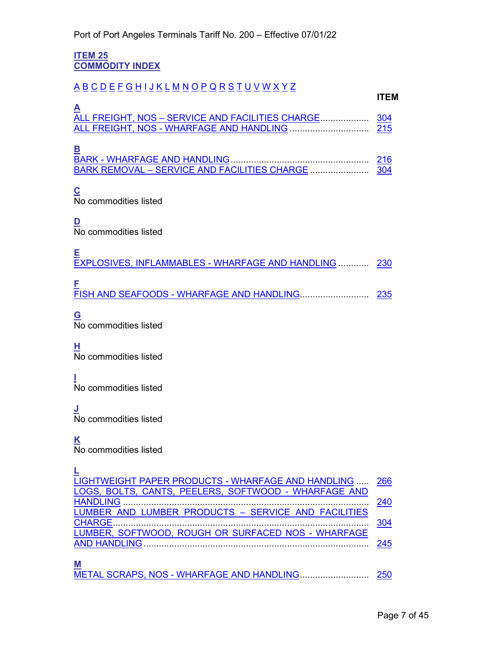#### <span id="page-6-1"></span><span id="page-6-0"></span>**ITEM 25 COMMODITY INDEX**

# [A](#page-6-2) [B](#page-6-3) [C](#page-6-4) [D](#page-6-5) [E](#page-6-6) [F](#page-6-7) [G](#page-6-8) [H](#page-6-9) [I](#page-6-10) [J](#page-6-11) [K](#page-6-12) [L](#page-6-13) [M](#page-6-14) [N](#page-7-0) [O](#page-7-1) [P](#page-7-2) [Q](#page-7-3) [R](#page-7-4) [S](#page-7-5) [T](#page-7-6) [U](#page-7-7) [V](#page-7-8) [W](#page-7-9) [X](#page-7-10) [Y](#page-7-11) [Z](#page-7-12)

<span id="page-6-2"></span>

| $\mathbf{A}$ |  |
|--------------|--|
|              |  |
|              |  |
|              |  |
| B            |  |
|              |  |

<span id="page-6-3"></span>BARK REMOVAL – SERVICE AND FACILITIES CHARGE ....................... [304](#page-37-1)

<span id="page-6-4"></span>**C** No commodities listed

<span id="page-6-5"></span>**D** No commodities listed

<span id="page-6-6"></span>

| Е<br>EXPLOSIVES, INFLAMMABLES - WHARFAGE AND HANDLING  230 |  |
|------------------------------------------------------------|--|
| F                                                          |  |

<span id="page-6-8"></span><span id="page-6-7"></span>**G** No commodities listed

<span id="page-6-9"></span>**H** No commodities listed

<span id="page-6-10"></span>**I** No commodities listed

<span id="page-6-11"></span>**J** No commodities listed

<span id="page-6-12"></span>**K**

<span id="page-6-13"></span>**L**

No commodities listed

| LIGHTWEIGHT PAPER PRODUCTS - WHARFAGE AND HANDLING  266 |     |
|---------------------------------------------------------|-----|
| LOGS, BOLTS, CANTS, PEELERS, SOFTWOOD - WHARFAGE AND    |     |
|                                                         | 240 |
| LUMBER AND LUMBER PRODUCTS - SERVICE AND FACILITIES     |     |
|                                                         | 304 |
| LUMBER, SOFTWOOD, ROUGH OR SURFACED NOS - WHARFAGE      |     |
|                                                         | 245 |
|                                                         |     |
|                                                         |     |
|                                                         |     |

<span id="page-6-14"></span>METAL SCRAPS, NOS - [WHARFAGE AND HANDLING.](#page-31-11).......................... [250](#page-31-12)

**ITEM**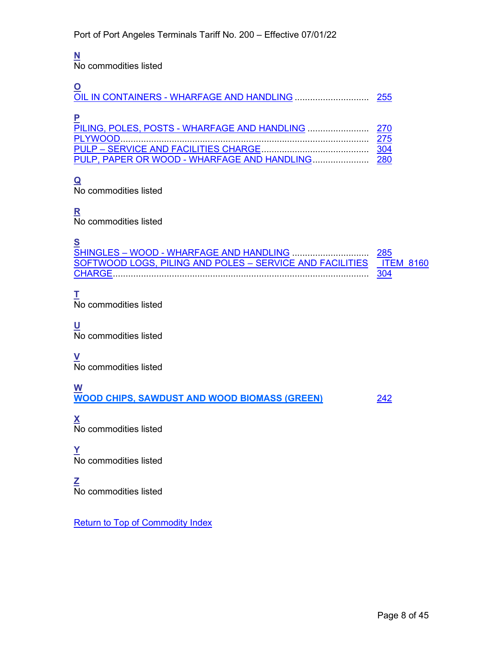# <span id="page-7-0"></span>**N**

No commodities listed

<span id="page-7-2"></span><span id="page-7-1"></span>

| 255 |
|-----|
|     |

# <span id="page-7-3"></span>**Q**

No commodities listed

# <span id="page-7-4"></span>**R**

No commodities listed

# <span id="page-7-5"></span>**S**

SHINGLES – WOOD - [WHARFAGE AND HANDLING](#page-32-8) .............................. [285](#page-32-9) [SOFTWOOD LOGS, PILING AND POLES –](#page-37-4) SERVICE AND FACILITIES \_ITEM\_8160 [CHARGE.](#page-37-4)................................................................................................... [304](#page-37-4)

# <span id="page-7-6"></span>**T**

No commodities listed

# <span id="page-7-7"></span>**U**

 $\overline{N}$  commodities listed

#### <span id="page-7-8"></span>**V**

No commodities listed

#### <span id="page-7-9"></span>**W WOOD CHIPS, SAWDUST AND WOOD BIOMASS (GREEN)** [242](#page-32-9)

<span id="page-7-10"></span>**X** No commodities listed

#### <span id="page-7-11"></span>**Y** No commodities listed

#### <span id="page-7-12"></span>**Z** No commodities listed

**[Return to Top of Commodity Index](#page-6-0)**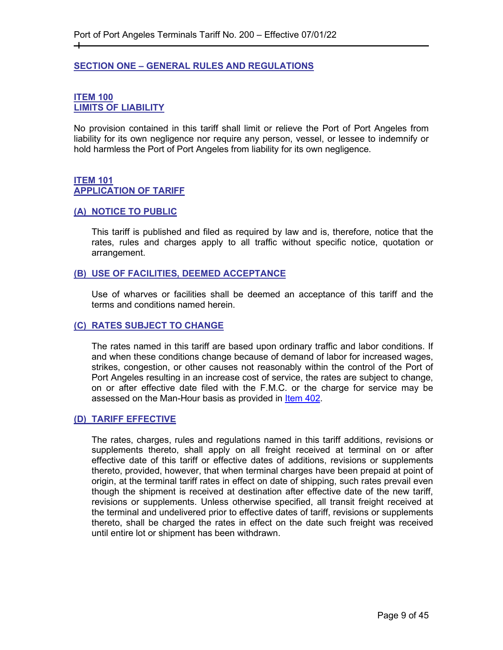#### <span id="page-8-0"></span>**SECTION ONE – GENERAL RULES AND REGULATIONS**

#### <span id="page-8-2"></span><span id="page-8-1"></span>**ITEM 100 LIMITS OF LIABILITY**

┿

No provision contained in this tariff shall limit or relieve the Port of Port Angeles from liability for its own negligence nor require any person, vessel, or lessee to indemnify or hold harmless the Port of Port Angeles from liability for its own negligence.

#### <span id="page-8-4"></span><span id="page-8-3"></span>**ITEM 101 APPLICATION OF TARIFF**

#### <span id="page-8-5"></span>**(A) NOTICE TO PUBLIC**

This tariff is published and filed as required by law and is, therefore, notice that the rates, rules and charges apply to all traffic without specific notice, quotation or arrangement.

#### <span id="page-8-6"></span>**(B) USE OF FACILITIES, DEEMED ACCEPTANCE**

Use of wharves or facilities shall be deemed an acceptance of this tariff and the terms and conditions named herein.

#### <span id="page-8-7"></span>**(C) RATES SUBJECT TO CHANGE**

The rates named in this tariff are based upon ordinary traffic and labor conditions. If and when these conditions change because of demand of labor for increased wages, strikes, congestion, or other causes not reasonably within the control of the Port of Port Angeles resulting in an increase cost of service, the rates are subject to change, on or after effective date filed with the F.M.C. or the charge for service may be assessed on the Man-Hour basis as provided in [Item 402.](#page-43-2)

#### <span id="page-8-8"></span>**(D) TARIFF EFFECTIVE**

The rates, charges, rules and regulations named in this tariff additions, revisions or supplements thereto, shall apply on all freight received at terminal on or after effective date of this tariff or effective dates of additions, revisions or supplements thereto, provided, however, that when terminal charges have been prepaid at point of origin, at the terminal tariff rates in effect on date of shipping, such rates prevail even though the shipment is received at destination after effective date of the new tariff, revisions or supplements. Unless otherwise specified, all transit freight received at the terminal and undelivered prior to effective dates of tariff, revisions or supplements thereto, shall be charged the rates in effect on the date such freight was received until entire lot or shipment has been withdrawn.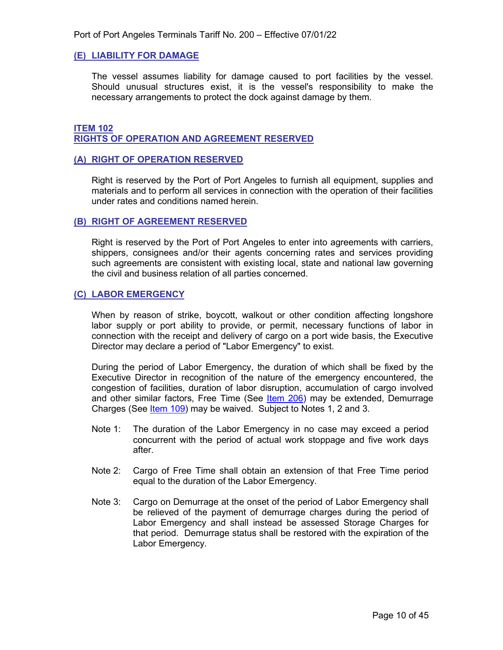#### <span id="page-9-0"></span>**(E) LIABILITY FOR DAMAGE**

The vessel assumes liability for damage caused to port facilities by the vessel. Should unusual structures exist, it is the vessel's responsibility to make the necessary arrangements to protect the dock against damage by them.

#### <span id="page-9-2"></span><span id="page-9-1"></span>**ITEM 102 RIGHTS OF OPERATION AND AGREEMENT RESERVED**

#### <span id="page-9-3"></span>**(A) RIGHT OF OPERATION RESERVED**

Right is reserved by the Port of Port Angeles to furnish all equipment, supplies and materials and to perform all services in connection with the operation of their facilities under rates and conditions named herein.

#### <span id="page-9-4"></span>**(B) RIGHT OF AGREEMENT RESERVED**

Right is reserved by the Port of Port Angeles to enter into agreements with carriers, shippers, consignees and/or their agents concerning rates and services providing such agreements are consistent with existing local, state and national law governing the civil and business relation of all parties concerned.

#### <span id="page-9-5"></span>**(C) LABOR EMERGENCY**

When by reason of strike, boycott, walkout or other condition affecting longshore labor supply or port ability to provide, or permit, necessary functions of labor in connection with the receipt and delivery of cargo on a port wide basis, the Executive Director may declare a period of "Labor Emergency" to exist.

During the period of Labor Emergency, the duration of which shall be fixed by the Executive Director in recognition of the nature of the emergency encountered, the congestion of facilities, duration of labor disruption, accumulation of cargo involved and other similar factors, Free Time (See [Item 206\)](#page-29-2) may be extended, Demurrage Charges (See [Item 109\)](#page-17-1) may be waived. Subject to Notes 1, 2 and 3.

- Note 1: The duration of the Labor Emergency in no case may exceed a period concurrent with the period of actual work stoppage and five work days after.
- Note 2: Cargo of Free Time shall obtain an extension of that Free Time period equal to the duration of the Labor Emergency.
- Note 3: Cargo on Demurrage at the onset of the period of Labor Emergency shall be relieved of the payment of demurrage charges during the period of Labor Emergency and shall instead be assessed Storage Charges for that period. Demurrage status shall be restored with the expiration of the Labor Emergency.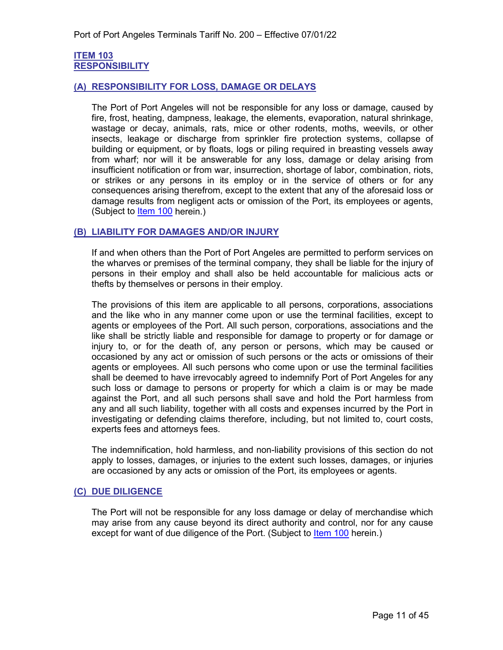#### <span id="page-10-1"></span><span id="page-10-0"></span>**ITEM 103 RESPONSIBILITY**

#### <span id="page-10-2"></span>**(A) RESPONSIBILITY FOR LOSS, DAMAGE OR DELAYS**

The Port of Port Angeles will not be responsible for any loss or damage, caused by fire, frost, heating, dampness, leakage, the elements, evaporation, natural shrinkage, wastage or decay, animals, rats, mice or other rodents, moths, weevils, or other insects, leakage or discharge from sprinkler fire protection systems, collapse of building or equipment, or by floats, logs or piling required in breasting vessels away from wharf; nor will it be answerable for any loss, damage or delay arising from insufficient notification or from war, insurrection, shortage of labor, combination, riots, or strikes or any persons in its employ or in the service of others or for any consequences arising therefrom, except to the extent that any of the aforesaid loss or damage results from negligent acts or omission of the Port, its employees or agents, (Subject to [Item 100](#page-17-5) herein.)

#### <span id="page-10-3"></span>**(B) LIABILITY FOR DAMAGES AND/OR INJURY**

If and when others than the Port of Port Angeles are permitted to perform services on the wharves or premises of the terminal company, they shall be liable for the injury of persons in their employ and shall also be held accountable for malicious acts or thefts by themselves or persons in their employ.

The provisions of this item are applicable to all persons, corporations, associations and the like who in any manner come upon or use the terminal facilities, except to agents or employees of the Port. All such person, corporations, associations and the like shall be strictly liable and responsible for damage to property or for damage or injury to, or for the death of, any person or persons, which may be caused or occasioned by any act or omission of such persons or the acts or omissions of their agents or employees. All such persons who come upon or use the terminal facilities shall be deemed to have irrevocably agreed to indemnify Port of Port Angeles for any such loss or damage to persons or property for which a claim is or may be made against the Port, and all such persons shall save and hold the Port harmless from any and all such liability, together with all costs and expenses incurred by the Port in investigating or defending claims therefore, including, but not limited to, court costs, experts fees and attorneys fees.

The indemnification, hold harmless, and non-liability provisions of this section do not apply to losses, damages, or injuries to the extent such losses, damages, or injuries are occasioned by any acts or omission of the Port, its employees or agents.

#### <span id="page-10-4"></span>**(C) DUE DILIGENCE**

The Port will not be responsible for any loss damage or delay of merchandise which may arise from any cause beyond its direct authority and control, nor for any cause except for want of due diligence of the Port. (Subject to [Item 100](#page-8-2) herein.)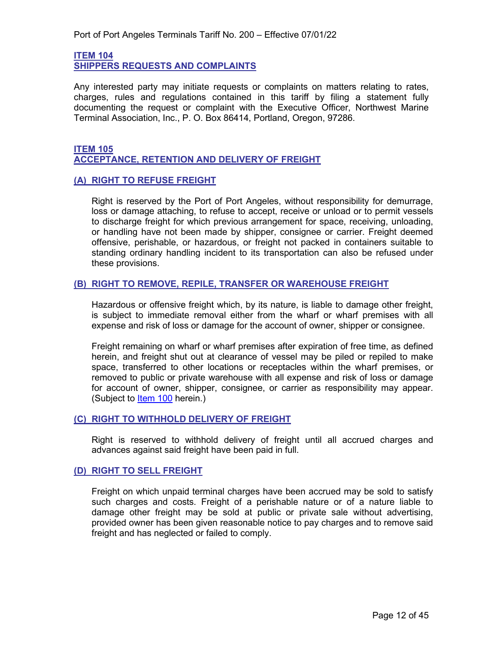<span id="page-11-1"></span><span id="page-11-0"></span>**ITEM 104 SHIPPERS REQUESTS AND COMPLAINTS**

Any interested party may initiate requests or complaints on matters relating to rates, charges, rules and regulations contained in this tariff by filing a statement fully documenting the request or complaint with the Executive Officer, Northwest Marine Terminal Association, Inc., P. O. Box 86414, Portland, Oregon, 97286.

#### <span id="page-11-3"></span><span id="page-11-2"></span>**ITEM 105 ACCEPTANCE, RETENTION AND DELIVERY OF FREIGHT**

#### <span id="page-11-4"></span>**(A) RIGHT TO REFUSE FREIGHT**

Right is reserved by the Port of Port Angeles, without responsibility for demurrage, loss or damage attaching, to refuse to accept, receive or unload or to permit vessels to discharge freight for which previous arrangement for space, receiving, unloading, or handling have not been made by shipper, consignee or carrier. Freight deemed offensive, perishable, or hazardous, or freight not packed in containers suitable to standing ordinary handling incident to its transportation can also be refused under these provisions.

#### <span id="page-11-5"></span>**(B) RIGHT TO REMOVE, REPILE, TRANSFER OR WAREHOUSE FREIGHT**

Hazardous or offensive freight which, by its nature, is liable to damage other freight, is subject to immediate removal either from the wharf or wharf premises with all expense and risk of loss or damage for the account of owner, shipper or consignee.

Freight remaining on wharf or wharf premises after expiration of free time, as defined herein, and freight shut out at clearance of vessel may be piled or repiled to make space, transferred to other locations or receptacles within the wharf premises, or removed to public or private warehouse with all expense and risk of loss or damage for account of owner, shipper, consignee, or carrier as responsibility may appear. (Subject to [Item](#page-8-2) 100 herein.)

#### <span id="page-11-6"></span>**(C) RIGHT TO WITHHOLD DELIVERY OF FREIGHT**

Right is reserved to withhold delivery of freight until all accrued charges and advances against said freight have been paid in full.

#### <span id="page-11-7"></span>**(D) RIGHT TO SELL FREIGHT**

Freight on which unpaid terminal charges have been accrued may be sold to satisfy such charges and costs. Freight of a perishable nature or of a nature liable to damage other freight may be sold at public or private sale without advertising, provided owner has been given reasonable notice to pay charges and to remove said freight and has neglected or failed to comply.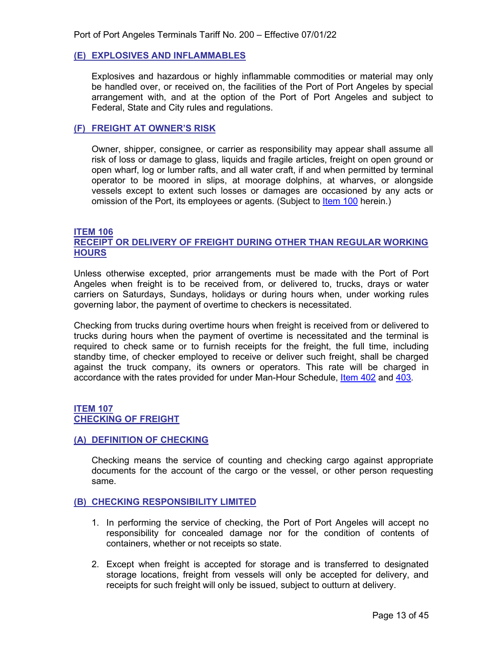#### <span id="page-12-0"></span>**(E) EXPLOSIVES AND INFLAMMABLES**

Explosives and hazardous or highly inflammable commodities or material may only be handled over, or received on, the facilities of the Port of Port Angeles by special arrangement with, and at the option of the Port of Port Angeles and subject to Federal, State and City rules and regulations.

#### <span id="page-12-1"></span>**(F) FREIGHT AT OWNER'S RISK**

Owner, shipper, consignee, or carrier as responsibility may appear shall assume all risk of loss or damage to glass, liquids and fragile articles, freight on open ground or open wharf, log or lumber rafts, and all water craft, if and when permitted by terminal operator to be moored in slips, at moorage dolphins, at wharves, or alongside vessels except to extent such losses or damages are occasioned by any acts or omission of the Port, its employees or agents. (Subject to [Item 100](#page-17-5) herein.)

#### <span id="page-12-3"></span><span id="page-12-2"></span>**ITEM 106 RECEIPT OR DELIVERY OF FREIGHT DURING OTHER THAN REGULAR WORKING HOURS**

Unless otherwise excepted, prior arrangements must be made with the Port of Port Angeles when freight is to be received from, or delivered to, trucks, drays or water carriers on Saturdays, Sundays, holidays or during hours when, under working rules governing labor, the payment of overtime to checkers is necessitated.

Checking from trucks during overtime hours when freight is received from or delivered to trucks during hours when the payment of overtime is necessitated and the terminal is required to check same or to furnish receipts for the freight, the full time, including standby time, of checker employed to receive or deliver such freight, shall be charged against the truck company, its owners or operators. This rate will be charged in accordance with the rates provided for under Man-Hour Schedule, [Item 402](#page-43-2) and [403.](#page-44-1)

#### <span id="page-12-5"></span><span id="page-12-4"></span>**ITEM 107 CHECKING OF FREIGHT**

#### <span id="page-12-6"></span>**(A) DEFINITION OF CHECKING**

Checking means the service of counting and checking cargo against appropriate documents for the account of the cargo or the vessel, or other person requesting same.

#### <span id="page-12-7"></span>**(B) CHECKING RESPONSIBILITY LIMITED**

- 1. In performing the service of checking, the Port of Port Angeles will accept no responsibility for concealed damage nor for the condition of contents of containers, whether or not receipts so state.
- 2. Except when freight is accepted for storage and is transferred to designated storage locations, freight from vessels will only be accepted for delivery, and receipts for such freight will only be issued, subject to outturn at delivery.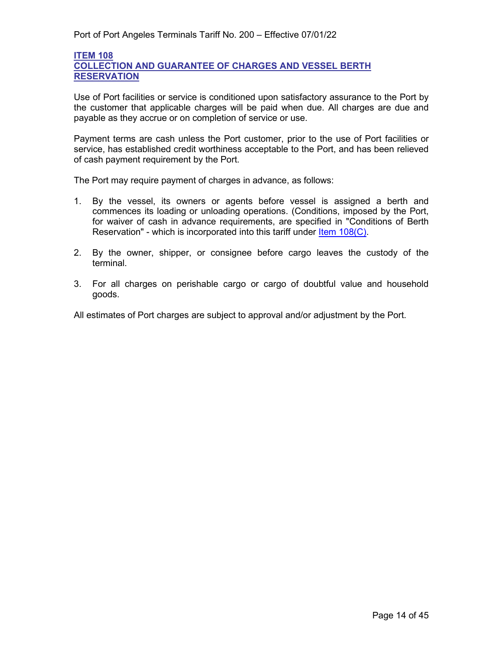#### <span id="page-13-2"></span><span id="page-13-1"></span>**ITEM 108 COLLECTION AND GUARANTEE OF CHARGES AND VESSEL BERTH RESERVATION**

Use of Port facilities or service is conditioned upon satisfactory assurance to the Port by the customer that applicable charges will be paid when due. All charges are due and payable as they accrue or on completion of service or use.

Payment terms are cash unless the Port customer, prior to the use of Port facilities or service, has established credit worthiness acceptable to the Port, and has been relieved of cash payment requirement by the Port.

The Port may require payment of charges in advance, as follows:

- 1. By the vessel, its owners or agents before vessel is assigned a berth and commences its loading or unloading operations. (Conditions, imposed by the Port, for waiver of cash in advance requirements, are specified in "Conditions of Berth Reservation" - which is incorporated into this tariff under [Item 108\(C\).](#page-16-0)
- 2. By the owner, shipper, or consignee before cargo leaves the custody of the terminal.
- 3. For all charges on perishable cargo or cargo of doubtful value and household goods.

<span id="page-13-0"></span>All estimates of Port charges are subject to approval and/or adjustment by the Port.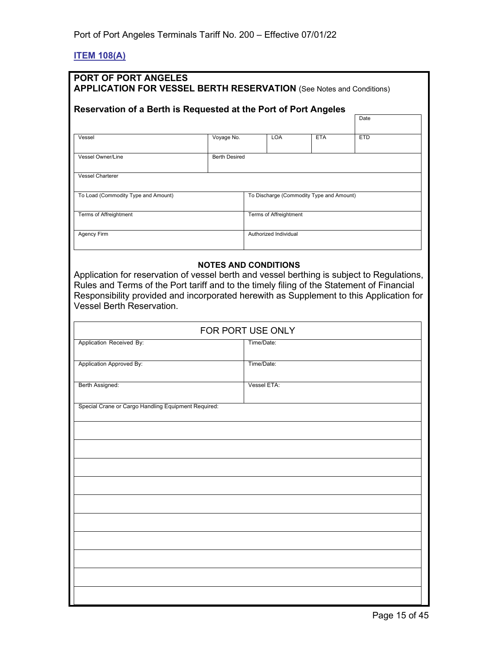# <span id="page-14-0"></span>**ITEM 108(A)**

| <b>PORT OF PORT ANGELES</b><br><b>APPLICATION FOR VESSEL BERTH RESERVATION</b> (See Notes and Conditions)                                                                                                                                                                                                                                             |                      |             |                        |                                          |            |
|-------------------------------------------------------------------------------------------------------------------------------------------------------------------------------------------------------------------------------------------------------------------------------------------------------------------------------------------------------|----------------------|-------------|------------------------|------------------------------------------|------------|
| Reservation of a Berth is Requested at the Port of Port Angeles                                                                                                                                                                                                                                                                                       |                      |             |                        |                                          |            |
|                                                                                                                                                                                                                                                                                                                                                       |                      |             |                        |                                          | Date       |
| Vessel                                                                                                                                                                                                                                                                                                                                                | Voyage No.           |             | <b>LOA</b>             | <b>ETA</b>                               | <b>ETD</b> |
| Vessel Owner/Line                                                                                                                                                                                                                                                                                                                                     | <b>Berth Desired</b> |             |                        |                                          |            |
| <b>Vessel Charterer</b>                                                                                                                                                                                                                                                                                                                               |                      |             |                        |                                          |            |
| To Load (Commodity Type and Amount)                                                                                                                                                                                                                                                                                                                   |                      |             |                        | To Discharge (Commodity Type and Amount) |            |
| Terms of Affreightment                                                                                                                                                                                                                                                                                                                                |                      |             | Terms of Affreightment |                                          |            |
| Agency Firm                                                                                                                                                                                                                                                                                                                                           |                      |             | Authorized Individual  |                                          |            |
| <b>NOTES AND CONDITIONS</b><br>Application for reservation of vessel berth and vessel berthing is subject to Regulations,<br>Rules and Terms of the Port tariff and to the timely filing of the Statement of Financial<br>Responsibility provided and incorporated herewith as Supplement to this Application for<br><b>Vessel Berth Reservation.</b> |                      |             |                        |                                          |            |
|                                                                                                                                                                                                                                                                                                                                                       | FOR PORT USE ONLY    |             |                        |                                          |            |
| Application Received By:                                                                                                                                                                                                                                                                                                                              |                      | Time/Date:  |                        |                                          |            |
| Application Approved By:                                                                                                                                                                                                                                                                                                                              |                      | Time/Date:  |                        |                                          |            |
| Berth Assigned:                                                                                                                                                                                                                                                                                                                                       |                      | Vessel ETA: |                        |                                          |            |
| Special Crane or Cargo Handling Equipment Required:                                                                                                                                                                                                                                                                                                   |                      |             |                        |                                          |            |
|                                                                                                                                                                                                                                                                                                                                                       |                      |             |                        |                                          |            |
|                                                                                                                                                                                                                                                                                                                                                       |                      |             |                        |                                          |            |
|                                                                                                                                                                                                                                                                                                                                                       |                      |             |                        |                                          |            |
|                                                                                                                                                                                                                                                                                                                                                       |                      |             |                        |                                          |            |
|                                                                                                                                                                                                                                                                                                                                                       |                      |             |                        |                                          |            |
|                                                                                                                                                                                                                                                                                                                                                       |                      |             |                        |                                          |            |
|                                                                                                                                                                                                                                                                                                                                                       |                      |             |                        |                                          |            |
|                                                                                                                                                                                                                                                                                                                                                       |                      |             |                        |                                          |            |
|                                                                                                                                                                                                                                                                                                                                                       |                      |             |                        |                                          |            |
|                                                                                                                                                                                                                                                                                                                                                       |                      |             |                        |                                          |            |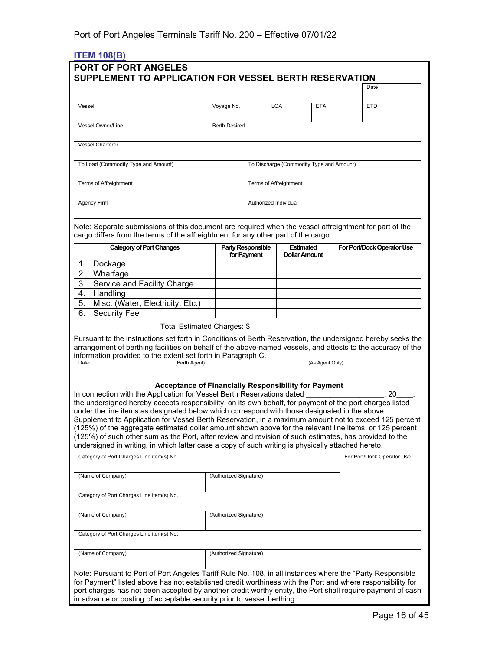# <span id="page-15-0"></span>**ITEM 108(B)**

|                                                                                                                                                                                                                                                                                                                                                                                                                                                                                                                                                                                                                                                                                                                                                                                |                          |            |                                          |                 | Date                       |
|--------------------------------------------------------------------------------------------------------------------------------------------------------------------------------------------------------------------------------------------------------------------------------------------------------------------------------------------------------------------------------------------------------------------------------------------------------------------------------------------------------------------------------------------------------------------------------------------------------------------------------------------------------------------------------------------------------------------------------------------------------------------------------|--------------------------|------------|------------------------------------------|-----------------|----------------------------|
| Vessel                                                                                                                                                                                                                                                                                                                                                                                                                                                                                                                                                                                                                                                                                                                                                                         | Voyage No.               | <b>LOA</b> |                                          | <b>ETA</b>      | <b>ETD</b>                 |
| <b>Vessel Owner/Line</b>                                                                                                                                                                                                                                                                                                                                                                                                                                                                                                                                                                                                                                                                                                                                                       | <b>Berth Desired</b>     |            |                                          |                 |                            |
|                                                                                                                                                                                                                                                                                                                                                                                                                                                                                                                                                                                                                                                                                                                                                                                |                          |            |                                          |                 |                            |
| <b>Vessel Charterer</b>                                                                                                                                                                                                                                                                                                                                                                                                                                                                                                                                                                                                                                                                                                                                                        |                          |            |                                          |                 |                            |
| To Load (Commodity Type and Amount)                                                                                                                                                                                                                                                                                                                                                                                                                                                                                                                                                                                                                                                                                                                                            |                          |            | To Discharge (Commodity Type and Amount) |                 |                            |
| <b>Terms of Affreightment</b>                                                                                                                                                                                                                                                                                                                                                                                                                                                                                                                                                                                                                                                                                                                                                  |                          |            | Terms of Affreightment                   |                 |                            |
| <b>Agency Firm</b>                                                                                                                                                                                                                                                                                                                                                                                                                                                                                                                                                                                                                                                                                                                                                             |                          |            | Authorized Individual                    |                 |                            |
| Note: Separate submissions of this document are required when the vessel affreightment for part of the<br>cargo differs from the terms of the affreightment for any other part of the cargo.<br><b>Category of Port Changes</b>                                                                                                                                                                                                                                                                                                                                                                                                                                                                                                                                                | <b>Party Responsible</b> |            | <b>Estimated</b>                         |                 | For Port/Dock Operator Use |
|                                                                                                                                                                                                                                                                                                                                                                                                                                                                                                                                                                                                                                                                                                                                                                                | for Payment              |            | <b>Dollar Amount</b>                     |                 |                            |
| 1.<br>Dockage<br>$\overline{2}$ .                                                                                                                                                                                                                                                                                                                                                                                                                                                                                                                                                                                                                                                                                                                                              |                          |            |                                          |                 |                            |
| Wharfage<br>3.<br>Service and Facility Charge                                                                                                                                                                                                                                                                                                                                                                                                                                                                                                                                                                                                                                                                                                                                  |                          |            |                                          |                 |                            |
| 4.<br>Handling                                                                                                                                                                                                                                                                                                                                                                                                                                                                                                                                                                                                                                                                                                                                                                 |                          |            |                                          |                 |                            |
| 5.<br>Misc. (Water, Electricity, Etc.)                                                                                                                                                                                                                                                                                                                                                                                                                                                                                                                                                                                                                                                                                                                                         |                          |            |                                          |                 |                            |
| 6.<br>Security Fee                                                                                                                                                                                                                                                                                                                                                                                                                                                                                                                                                                                                                                                                                                                                                             |                          |            |                                          |                 |                            |
| Total Estimated Charges: \$                                                                                                                                                                                                                                                                                                                                                                                                                                                                                                                                                                                                                                                                                                                                                    |                          |            |                                          |                 |                            |
| Pursuant to the instructions set forth in Conditions of Berth Reservation, the undersigned hereby seeks the<br>arrangement of berthing facilities on behalf of the above-named vessels, and attests to the accuracy of the<br>information provided to the extent set forth in Paragraph C.<br>Date:<br>(Berth Agent)                                                                                                                                                                                                                                                                                                                                                                                                                                                           |                          |            |                                          | (As Agent Only) |                            |
| Acceptance of Financially Responsibility for Payment<br>In connection with the Application for Vessel Berth Reservations dated<br>the undersigned hereby accepts responsibility, on its own behalf, for payment of the port charges listed<br>under the line items as designated below which correspond with those designated in the above<br>Supplement to Application for Vessel Berth Reservation, in a maximum amount not to exceed 125 percent<br>(125%) of the aggregate estimated dollar amount shown above for the relevant line items, or 125 percent<br>(125%) of such other sum as the Port, after review and revision of such estimates, has provided to the<br>undersigned in writing, in which latter case a copy of such writing is physically attached hereto. |                          |            |                                          |                 | 20                         |
| Category of Port Charges Line item(s) No.                                                                                                                                                                                                                                                                                                                                                                                                                                                                                                                                                                                                                                                                                                                                      |                          |            |                                          |                 | For Port/Dock Operator Use |
| (Name of Company)                                                                                                                                                                                                                                                                                                                                                                                                                                                                                                                                                                                                                                                                                                                                                              | (Authorized Signature)   |            |                                          |                 |                            |
| Category of Port Charges Line item(s) No.                                                                                                                                                                                                                                                                                                                                                                                                                                                                                                                                                                                                                                                                                                                                      |                          |            |                                          |                 |                            |
| (Name of Company)                                                                                                                                                                                                                                                                                                                                                                                                                                                                                                                                                                                                                                                                                                                                                              | (Authorized Signature)   |            |                                          |                 |                            |
| Category of Port Charges Line item(s) No.                                                                                                                                                                                                                                                                                                                                                                                                                                                                                                                                                                                                                                                                                                                                      |                          |            |                                          |                 |                            |
| (Name of Company)                                                                                                                                                                                                                                                                                                                                                                                                                                                                                                                                                                                                                                                                                                                                                              | (Authorized Signature)   |            |                                          |                 |                            |
| Note: Pursuant to Port of Port Angeles Tariff Rule No. 108, in all instances where the "Party Responsible<br>for Payment" listed above has not established credit worthiness with the Port and where responsibility for                                                                                                                                                                                                                                                                                                                                                                                                                                                                                                                                                        |                          |            |                                          |                 |                            |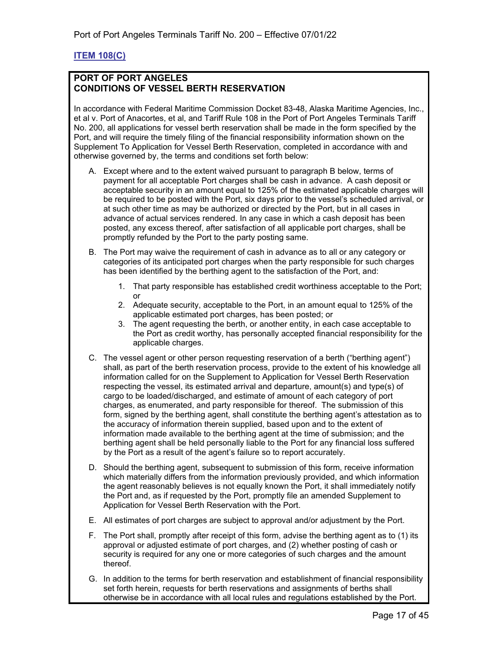### <span id="page-16-0"></span>**ITEM 108(C)**

#### **PORT OF PORT ANGELES CONDITIONS OF VESSEL BERTH RESERVATION**

In accordance with Federal Maritime Commission Docket 83-48, Alaska Maritime Agencies, Inc., et al v. Port of Anacortes, et al, and Tariff Rule 108 in the Port of Port Angeles Terminals Tariff No. 200, all applications for vessel berth reservation shall be made in the form specified by the Port, and will require the timely filing of the financial responsibility information shown on the Supplement To Application for Vessel Berth Reservation, completed in accordance with and otherwise governed by, the terms and conditions set forth below:

- A. Except where and to the extent waived pursuant to paragraph B below, terms of payment for all acceptable Port charges shall be cash in advance. A cash deposit or acceptable security in an amount equal to 125% of the estimated applicable charges will be required to be posted with the Port, six days prior to the vessel's scheduled arrival, or at such other time as may be authorized or directed by the Port, but in all cases in advance of actual services rendered. In any case in which a cash deposit has been posted, any excess thereof, after satisfaction of all applicable port charges, shall be promptly refunded by the Port to the party posting same.
- B. The Port may waive the requirement of cash in advance as to all or any category or categories of its anticipated port charges when the party responsible for such charges has been identified by the berthing agent to the satisfaction of the Port, and:
	- 1. That party responsible has established credit worthiness acceptable to the Port; or
	- 2. Adequate security, acceptable to the Port, in an amount equal to 125% of the applicable estimated port charges, has been posted; or
	- 3. The agent requesting the berth, or another entity, in each case acceptable to the Port as credit worthy, has personally accepted financial responsibility for the applicable charges.
- C. The vessel agent or other person requesting reservation of a berth ("berthing agent") shall, as part of the berth reservation process, provide to the extent of his knowledge all information called for on the Supplement to Application for Vessel Berth Reservation respecting the vessel, its estimated arrival and departure, amount(s) and type(s) of cargo to be loaded/discharged, and estimate of amount of each category of port charges, as enumerated, and party responsible for thereof. The submission of this form, signed by the berthing agent, shall constitute the berthing agent's attestation as to the accuracy of information therein supplied, based upon and to the extent of information made available to the berthing agent at the time of submission; and the berthing agent shall be held personally liable to the Port for any financial loss suffered by the Port as a result of the agent's failure so to report accurately.
- D. Should the berthing agent, subsequent to submission of this form, receive information which materially differs from the information previously provided, and which information the agent reasonably believes is not equally known the Port, it shall immediately notify the Port and, as if requested by the Port, promptly file an amended Supplement to Application for Vessel Berth Reservation with the Port.
- E. All estimates of port charges are subject to approval and/or adjustment by the Port.
- F. The Port shall, promptly after receipt of this form, advise the berthing agent as to (1) its approval or adjusted estimate of port charges, and (2) whether posting of cash or security is required for any one or more categories of such charges and the amount thereof.
- G. In addition to the terms for berth reservation and establishment of financial responsibility set forth herein, requests for berth reservations and assignments of berths shall otherwise be in accordance with all local rules and regulations established by the Port.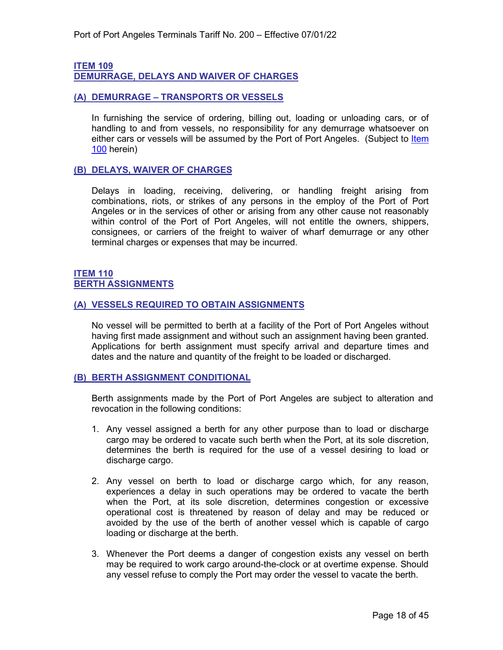# <span id="page-17-1"></span>**ITEM 109**

<span id="page-17-0"></span>**DEMURRAGE, DELAYS AND WAIVER OF CHARGES**

#### <span id="page-17-2"></span>**(A) DEMURRAGE – TRANSPORTS OR VESSELS**

In furnishing the service of ordering, billing out, loading or unloading cars, or of handling to and from vessels, no responsibility for any demurrage whatsoever on either cars or vessels will be assumed by the Port of Port Angeles. (Subject to Item [100](#page-8-2) herein)

#### <span id="page-17-3"></span>**(B) DELAYS, WAIVER OF CHARGES**

Delays in loading, receiving, delivering, or handling freight arising from combinations, riots, or strikes of any persons in the employ of the Port of Port Angeles or in the services of other or arising from any other cause not reasonably within control of the Port of Port Angeles, will not entitle the owners, shippers, consignees, or carriers of the freight to waiver of wharf demurrage or any other terminal charges or expenses that may be incurred.

#### <span id="page-17-5"></span><span id="page-17-4"></span>**ITEM 110 BERTH ASSIGNMENTS**

#### <span id="page-17-6"></span>**(A) VESSELS REQUIRED TO OBTAIN ASSIGNMENTS**

No vessel will be permitted to berth at a facility of the Port of Port Angeles without having first made assignment and without such an assignment having been granted. Applications for berth assignment must specify arrival and departure times and dates and the nature and quantity of the freight to be loaded or discharged.

#### <span id="page-17-7"></span>**(B) BERTH ASSIGNMENT CONDITIONAL**

Berth assignments made by the Port of Port Angeles are subject to alteration and revocation in the following conditions:

- 1. Any vessel assigned a berth for any other purpose than to load or discharge cargo may be ordered to vacate such berth when the Port, at its sole discretion, determines the berth is required for the use of a vessel desiring to load or discharge cargo.
- 2. Any vessel on berth to load or discharge cargo which, for any reason, experiences a delay in such operations may be ordered to vacate the berth when the Port, at its sole discretion, determines congestion or excessive operational cost is threatened by reason of delay and may be reduced or avoided by the use of the berth of another vessel which is capable of cargo loading or discharge at the berth.
- 3. Whenever the Port deems a danger of congestion exists any vessel on berth may be required to work cargo around-the-clock or at overtime expense. Should any vessel refuse to comply the Port may order the vessel to vacate the berth.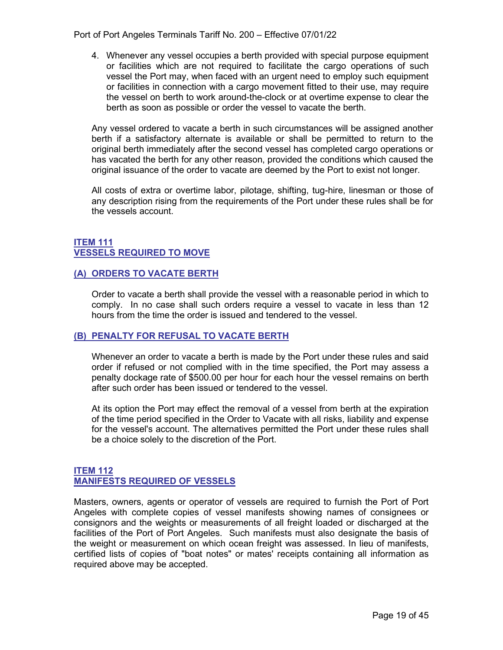Port of Port Angeles Terminals Tariff No. 200 – Effective 07/01/22

4. Whenever any vessel occupies a berth provided with special purpose equipment or facilities which are not required to facilitate the cargo operations of such vessel the Port may, when faced with an urgent need to employ such equipment or facilities in connection with a cargo movement fitted to their use, may require the vessel on berth to work around-the-clock or at overtime expense to clear the berth as soon as possible or order the vessel to vacate the berth.

Any vessel ordered to vacate a berth in such circumstances will be assigned another berth if a satisfactory alternate is available or shall be permitted to return to the original berth immediately after the second vessel has completed cargo operations or has vacated the berth for any other reason, provided the conditions which caused the original issuance of the order to vacate are deemed by the Port to exist not longer.

All costs of extra or overtime labor, pilotage, shifting, tug-hire, linesman or those of any description rising from the requirements of the Port under these rules shall be for the vessels account.

#### <span id="page-18-1"></span><span id="page-18-0"></span>**ITEM 111 VESSELS REQUIRED TO MOVE**

#### <span id="page-18-2"></span>**(A) ORDERS TO VACATE BERTH**

Order to vacate a berth shall provide the vessel with a reasonable period in which to comply. In no case shall such orders require a vessel to vacate in less than 12 hours from the time the order is issued and tendered to the vessel.

#### <span id="page-18-3"></span>**(B) PENALTY FOR REFUSAL TO VACATE BERTH**

Whenever an order to vacate a berth is made by the Port under these rules and said order if refused or not complied with in the time specified, the Port may assess a penalty dockage rate of \$500.00 per hour for each hour the vessel remains on berth after such order has been issued or tendered to the vessel.

At its option the Port may effect the removal of a vessel from berth at the expiration of the time period specified in the Order to Vacate with all risks, liability and expense for the vessel's account. The alternatives permitted the Port under these rules shall be a choice solely to the discretion of the Port.

#### <span id="page-18-5"></span><span id="page-18-4"></span>**ITEM 112 MANIFESTS REQUIRED OF VESSELS**

Masters, owners, agents or operator of vessels are required to furnish the Port of Port Angeles with complete copies of vessel manifests showing names of consignees or consignors and the weights or measurements of all freight loaded or discharged at the facilities of the Port of Port Angeles. Such manifests must also designate the basis of the weight or measurement on which ocean freight was assessed. In lieu of manifests, certified lists of copies of "boat notes" or mates' receipts containing all information as required above may be accepted.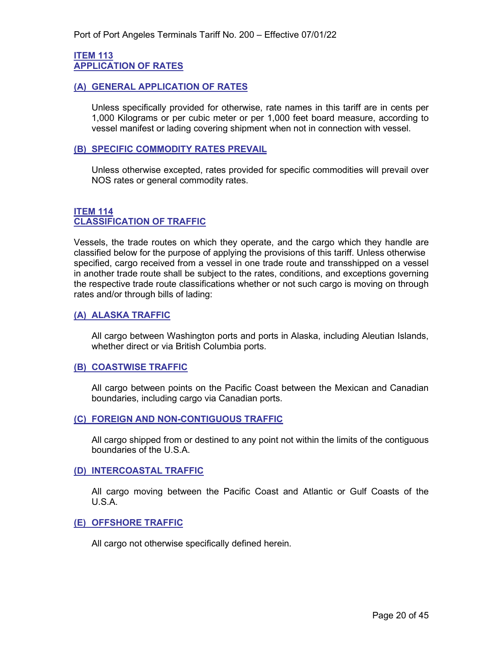#### <span id="page-19-1"></span><span id="page-19-0"></span>**ITEM 113 APPLICATION OF RATES**

#### <span id="page-19-2"></span>**(A) GENERAL APPLICATION OF RATES**

Unless specifically provided for otherwise, rate names in this tariff are in cents per 1,000 Kilograms or per cubic meter or per 1,000 feet board measure, according to vessel manifest or lading covering shipment when not in connection with vessel.

#### <span id="page-19-3"></span>**(B) SPECIFIC COMMODITY RATES PREVAIL**

Unless otherwise excepted, rates provided for specific commodities will prevail over NOS rates or general commodity rates.

#### <span id="page-19-5"></span><span id="page-19-4"></span>**ITEM 114 CLASSIFICATION OF TRAFFIC**

Vessels, the trade routes on which they operate, and the cargo which they handle are classified below for the purpose of applying the provisions of this tariff. Unless otherwise specified, cargo received from a vessel in one trade route and transshipped on a vessel in another trade route shall be subject to the rates, conditions, and exceptions governing the respective trade route classifications whether or not such cargo is moving on through rates and/or through bills of lading:

#### <span id="page-19-6"></span>**(A) ALASKA TRAFFIC**

All cargo between Washington ports and ports in Alaska, including Aleutian Islands, whether direct or via British Columbia ports.

#### <span id="page-19-7"></span>**(B) COASTWISE TRAFFIC**

All cargo between points on the Pacific Coast between the Mexican and Canadian boundaries, including cargo via Canadian ports.

#### <span id="page-19-8"></span>**(C) FOREIGN AND NON-CONTIGUOUS TRAFFIC**

All cargo shipped from or destined to any point not within the limits of the contiguous boundaries of the U.S.A.

#### <span id="page-19-9"></span>**(D) INTERCOASTAL TRAFFIC**

All cargo moving between the Pacific Coast and Atlantic or Gulf Coasts of the U.S.A.

#### <span id="page-19-10"></span>**(E) OFFSHORE TRAFFIC**

All cargo not otherwise specifically defined herein.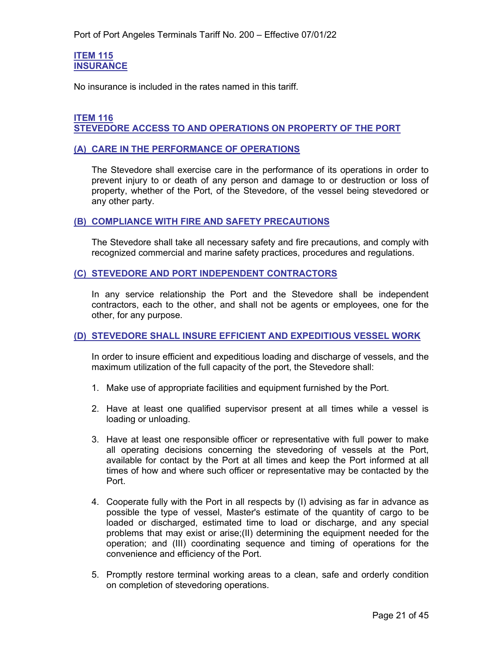#### <span id="page-20-1"></span><span id="page-20-0"></span>**ITEM 115 INSURANCE**

No insurance is included in the rates named in this tariff.

#### <span id="page-20-3"></span><span id="page-20-2"></span>**ITEM 116 STEVEDORE ACCESS TO AND OPERATIONS ON PROPERTY OF THE PORT**

#### <span id="page-20-4"></span>**(A) CARE IN THE PERFORMANCE OF OPERATIONS**

The Stevedore shall exercise care in the performance of its operations in order to prevent injury to or death of any person and damage to or destruction or loss of property, whether of the Port, of the Stevedore, of the vessel being stevedored or any other party.

#### <span id="page-20-5"></span>**(B) COMPLIANCE WITH FIRE AND SAFETY PRECAUTIONS**

The Stevedore shall take all necessary safety and fire precautions, and comply with recognized commercial and marine safety practices, procedures and regulations.

#### <span id="page-20-6"></span>**(C) STEVEDORE AND PORT INDEPENDENT CONTRACTORS**

In any service relationship the Port and the Stevedore shall be independent contractors, each to the other, and shall not be agents or employees, one for the other, for any purpose.

#### <span id="page-20-7"></span>**(D) STEVEDORE SHALL INSURE EFFICIENT AND EXPEDITIOUS VESSEL WORK**

In order to insure efficient and expeditious loading and discharge of vessels, and the maximum utilization of the full capacity of the port, the Stevedore shall:

- 1. Make use of appropriate facilities and equipment furnished by the Port.
- 2. Have at least one qualified supervisor present at all times while a vessel is loading or unloading.
- 3. Have at least one responsible officer or representative with full power to make all operating decisions concerning the stevedoring of vessels at the Port, available for contact by the Port at all times and keep the Port informed at all times of how and where such officer or representative may be contacted by the Port.
- 4. Cooperate fully with the Port in all respects by (I) advising as far in advance as possible the type of vessel, Master's estimate of the quantity of cargo to be loaded or discharged, estimated time to load or discharge, and any special problems that may exist or arise;(II) determining the equipment needed for the operation; and (III) coordinating sequence and timing of operations for the convenience and efficiency of the Port.
- 5. Promptly restore terminal working areas to a clean, safe and orderly condition on completion of stevedoring operations.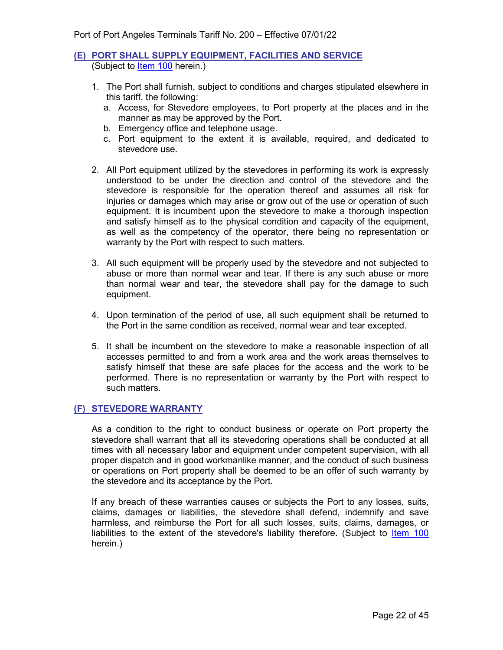#### <span id="page-21-0"></span>**(E) PORT SHALL SUPPLY EQUIPMENT, FACILITIES AND SERVICE** (Subject to [Item 100](#page-8-2) herein.)

- 1. The Port shall furnish, subject to conditions and charges stipulated elsewhere in this tariff, the following:
	- a. Access, for Stevedore employees, to Port property at the places and in the manner as may be approved by the Port.
	- b. Emergency office and telephone usage.
	- c. Port equipment to the extent it is available, required, and dedicated to stevedore use.
- 2. All Port equipment utilized by the stevedores in performing its work is expressly understood to be under the direction and control of the stevedore and the stevedore is responsible for the operation thereof and assumes all risk for injuries or damages which may arise or grow out of the use or operation of such equipment. It is incumbent upon the stevedore to make a thorough inspection and satisfy himself as to the physical condition and capacity of the equipment, as well as the competency of the operator, there being no representation or warranty by the Port with respect to such matters.
- 3. All such equipment will be properly used by the stevedore and not subjected to abuse or more than normal wear and tear. If there is any such abuse or more than normal wear and tear, the stevedore shall pay for the damage to such equipment.
- 4. Upon termination of the period of use, all such equipment shall be returned to the Port in the same condition as received, normal wear and tear excepted.
- 5. It shall be incumbent on the stevedore to make a reasonable inspection of all accesses permitted to and from a work area and the work areas themselves to satisfy himself that these are safe places for the access and the work to be performed. There is no representation or warranty by the Port with respect to such matters.

#### <span id="page-21-1"></span>**(F) STEVEDORE WARRANTY**

As a condition to the right to conduct business or operate on Port property the stevedore shall warrant that all its stevedoring operations shall be conducted at all times with all necessary labor and equipment under competent supervision, with all proper dispatch and in good workmanlike manner, and the conduct of such business or operations on Port property shall be deemed to be an offer of such warranty by the stevedore and its acceptance by the Port.

If any breach of these warranties causes or subjects the Port to any losses, suits, claims, damages or liabilities, the stevedore shall defend, indemnify and save harmless, and reimburse the Port for all such losses, suits, claims, damages, or liabilities to the extent of the stevedore's liability therefore. (Subject to [Item 100](#page-8-2) herein.)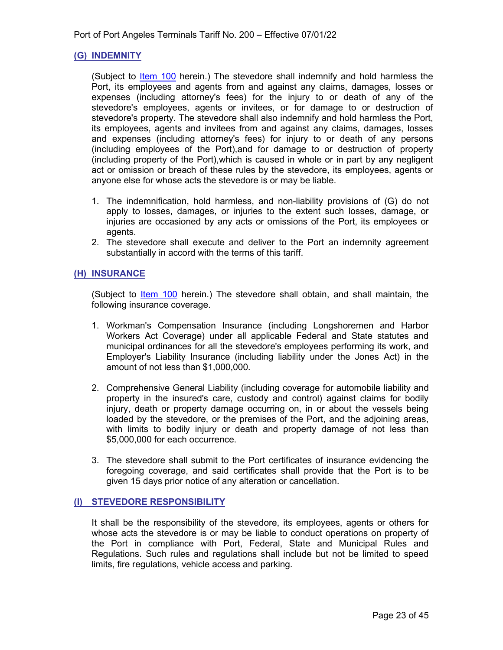#### <span id="page-22-0"></span>**(G) INDEMNITY**

(Subject to *Item 100* herein.) The stevedore shall indemnify and hold harmless the Port, its employees and agents from and against any claims, damages, losses or expenses (including attorney's fees) for the injury to or death of any of the stevedore's employees, agents or invitees, or for damage to or destruction of stevedore's property. The stevedore shall also indemnify and hold harmless the Port, its employees, agents and invitees from and against any claims, damages, losses and expenses (including attorney's fees) for injury to or death of any persons (including employees of the Port),and for damage to or destruction of property (including property of the Port),which is caused in whole or in part by any negligent act or omission or breach of these rules by the stevedore, its employees, agents or anyone else for whose acts the stevedore is or may be liable.

- 1. The indemnification, hold harmless, and non-liability provisions of (G) do not apply to losses, damages, or injuries to the extent such losses, damage, or injuries are occasioned by any acts or omissions of the Port, its employees or agents.
- 2. The stevedore shall execute and deliver to the Port an indemnity agreement substantially in accord with the terms of this tariff.

#### <span id="page-22-1"></span>**(H) INSURANCE**

(Subject to [Item 100](#page-8-2) herein.) The stevedore shall obtain, and shall maintain, the following insurance coverage.

- 1. Workman's Compensation Insurance (including Longshoremen and Harbor Workers Act Coverage) under all applicable Federal and State statutes and municipal ordinances for all the stevedore's employees performing its work, and Employer's Liability Insurance (including liability under the Jones Act) in the amount of not less than \$1,000,000.
- 2. Comprehensive General Liability (including coverage for automobile liability and property in the insured's care, custody and control) against claims for bodily injury, death or property damage occurring on, in or about the vessels being loaded by the stevedore, or the premises of the Port, and the adjoining areas, with limits to bodily injury or death and property damage of not less than \$5,000,000 for each occurrence.
- 3. The stevedore shall submit to the Port certificates of insurance evidencing the foregoing coverage, and said certificates shall provide that the Port is to be given 15 days prior notice of any alteration or cancellation.

#### <span id="page-22-2"></span>**(I) STEVEDORE RESPONSIBILITY**

It shall be the responsibility of the stevedore, its employees, agents or others for whose acts the stevedore is or may be liable to conduct operations on property of the Port in compliance with Port, Federal, State and Municipal Rules and Regulations. Such rules and regulations shall include but not be limited to speed limits, fire regulations, vehicle access and parking.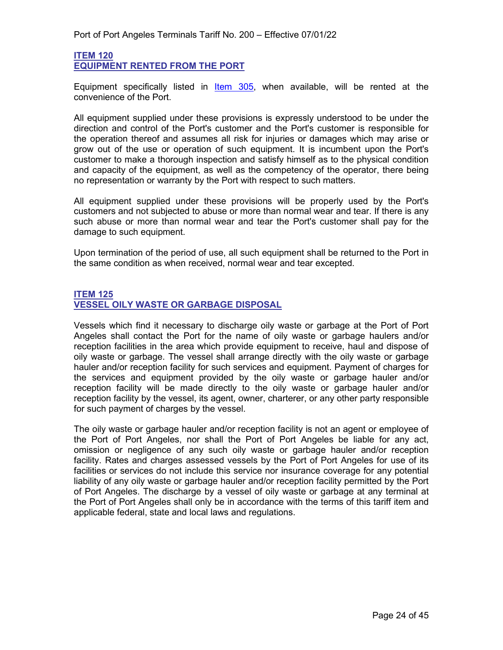#### <span id="page-23-1"></span><span id="page-23-0"></span>**ITEM 120 EQUIPMENT RENTED FROM THE PORT**

Equipment specifically listed in [Item 305,](#page-38-1) when available, will be rented at the convenience of the Port.

All equipment supplied under these provisions is expressly understood to be under the direction and control of the Port's customer and the Port's customer is responsible for the operation thereof and assumes all risk for injuries or damages which may arise or grow out of the use or operation of such equipment. It is incumbent upon the Port's customer to make a thorough inspection and satisfy himself as to the physical condition and capacity of the equipment, as well as the competency of the operator, there being no representation or warranty by the Port with respect to such matters.

All equipment supplied under these provisions will be properly used by the Port's customers and not subjected to abuse or more than normal wear and tear. If there is any such abuse or more than normal wear and tear the Port's customer shall pay for the damage to such equipment.

Upon termination of the period of use, all such equipment shall be returned to the Port in the same condition as when received, normal wear and tear excepted.

#### <span id="page-23-3"></span><span id="page-23-2"></span>**ITEM 125 VESSEL OILY WASTE OR GARBAGE DISPOSAL**

Vessels which find it necessary to discharge oily waste or garbage at the Port of Port Angeles shall contact the Port for the name of oily waste or garbage haulers and/or reception facilities in the area which provide equipment to receive, haul and dispose of oily waste or garbage. The vessel shall arrange directly with the oily waste or garbage hauler and/or reception facility for such services and equipment. Payment of charges for the services and equipment provided by the oily waste or garbage hauler and/or reception facility will be made directly to the oily waste or garbage hauler and/or reception facility by the vessel, its agent, owner, charterer, or any other party responsible for such payment of charges by the vessel.

The oily waste or garbage hauler and/or reception facility is not an agent or employee of the Port of Port Angeles, nor shall the Port of Port Angeles be liable for any act, omission or negligence of any such oily waste or garbage hauler and/or reception facility. Rates and charges assessed vessels by the Port of Port Angeles for use of its facilities or services do not include this service nor insurance coverage for any potential liability of any oily waste or garbage hauler and/or reception facility permitted by the Port of Port Angeles. The discharge by a vessel of oily waste or garbage at any terminal at the Port of Port Angeles shall only be in accordance with the terms of this tariff item and applicable federal, state and local laws and regulations.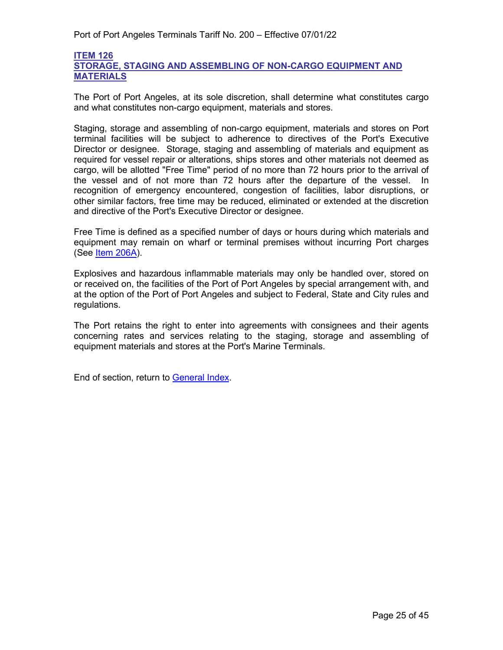#### <span id="page-24-1"></span><span id="page-24-0"></span>**ITEM 126 STORAGE, STAGING AND ASSEMBLING OF NON-CARGO EQUIPMENT AND MATERIALS**

The Port of Port Angeles, at its sole discretion, shall determine what constitutes cargo and what constitutes non-cargo equipment, materials and stores.

Staging, storage and assembling of non-cargo equipment, materials and stores on Port terminal facilities will be subject to adherence to directives of the Port's Executive Director or designee. Storage, staging and assembling of materials and equipment as required for vessel repair or alterations, ships stores and other materials not deemed as cargo, will be allotted "Free Time" period of no more than 72 hours prior to the arrival of the vessel and of not more than 72 hours after the departure of the vessel. In recognition of emergency encountered, congestion of facilities, labor disruptions, or other similar factors, free time may be reduced, eliminated or extended at the discretion and directive of the Port's Executive Director or designee.

Free Time is defined as a specified number of days or hours during which materials and equipment may remain on wharf or terminal premises without incurring Port charges (See [Item 206A\)](#page-29-3).

Explosives and hazardous inflammable materials may only be handled over, stored on or received on, the facilities of the Port of Port Angeles by special arrangement with, and at the option of the Port of Port Angeles and subject to Federal, State and City rules and regulations.

The Port retains the right to enter into agreements with consignees and their agents concerning rates and services relating to the staging, storage and assembling of equipment materials and stores at the Port's Marine Terminals.

End of section, return to [General Index.](#page-3-0)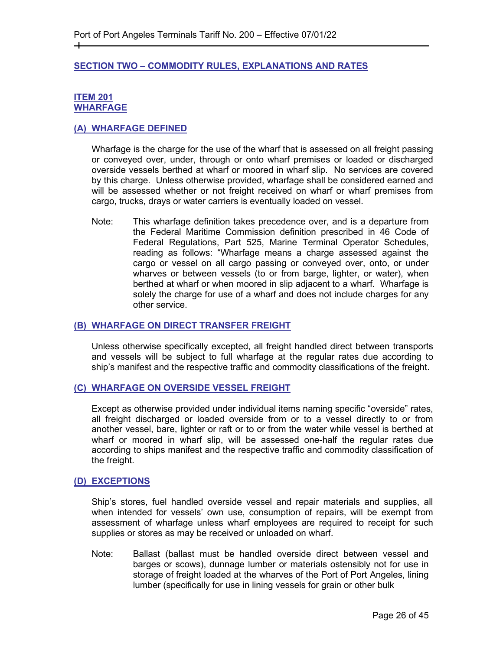#### <span id="page-25-0"></span>**SECTION TWO – COMMODITY RULES, EXPLANATIONS AND RATES**

#### <span id="page-25-2"></span><span id="page-25-1"></span>**ITEM 201 WHARFAGE**

┿

#### <span id="page-25-3"></span>**(A) WHARFAGE DEFINED**

Wharfage is the charge for the use of the wharf that is assessed on all freight passing or conveyed over, under, through or onto wharf premises or loaded or discharged overside vessels berthed at wharf or moored in wharf slip. No services are covered by this charge. Unless otherwise provided, wharfage shall be considered earned and will be assessed whether or not freight received on wharf or wharf premises from cargo, trucks, drays or water carriers is eventually loaded on vessel.

Note: This wharfage definition takes precedence over, and is a departure from the Federal Maritime Commission definition prescribed in 46 Code of Federal Regulations, Part 525, Marine Terminal Operator Schedules, reading as follows: "Wharfage means a charge assessed against the cargo or vessel on all cargo passing or conveyed over, onto, or under wharves or between vessels (to or from barge, lighter, or water), when berthed at wharf or when moored in slip adjacent to a wharf. Wharfage is solely the charge for use of a wharf and does not include charges for any other service.

#### <span id="page-25-4"></span>**(B) WHARFAGE ON DIRECT TRANSFER FREIGHT**

Unless otherwise specifically excepted, all freight handled direct between transports and vessels will be subject to full wharfage at the regular rates due according to ship's manifest and the respective traffic and commodity classifications of the freight.

#### <span id="page-25-5"></span>**(C) WHARFAGE ON OVERSIDE VESSEL FREIGHT**

Except as otherwise provided under individual items naming specific "overside" rates, all freight discharged or loaded overside from or to a vessel directly to or from another vessel, bare, lighter or raft or to or from the water while vessel is berthed at wharf or moored in wharf slip, will be assessed one-half the regular rates due according to ships manifest and the respective traffic and commodity classification of the freight.

#### <span id="page-25-6"></span>**(D) EXCEPTIONS**

Ship's stores, fuel handled overside vessel and repair materials and supplies, all when intended for vessels' own use, consumption of repairs, will be exempt from assessment of wharfage unless wharf employees are required to receipt for such supplies or stores as may be received or unloaded on wharf.

Note: Ballast (ballast must be handled overside direct between vessel and barges or scows), dunnage lumber or materials ostensibly not for use in storage of freight loaded at the wharves of the Port of Port Angeles, lining lumber (specifically for use in lining vessels for grain or other bulk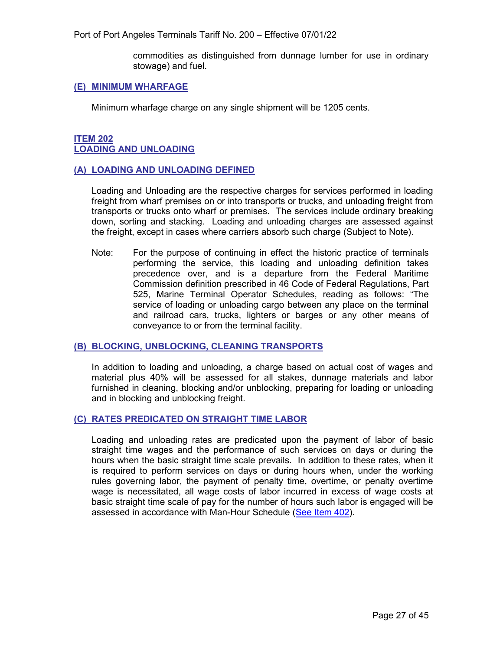Port of Port Angeles Terminals Tariff No. 200 – Effective 07/01/22

commodities as distinguished from dunnage lumber for use in ordinary stowage) and fuel.

#### <span id="page-26-0"></span>**(E) MINIMUM WHARFAGE**

Minimum wharfage charge on any single shipment will be 1205 cents.

#### <span id="page-26-2"></span><span id="page-26-1"></span>**ITEM 202 LOADING AND UNLOADING**

#### <span id="page-26-3"></span>**(A) LOADING AND UNLOADING DEFINED**

Loading and Unloading are the respective charges for services performed in loading freight from wharf premises on or into transports or trucks, and unloading freight from transports or trucks onto wharf or premises. The services include ordinary breaking down, sorting and stacking. Loading and unloading charges are assessed against the freight, except in cases where carriers absorb such charge (Subject to Note).

Note: For the purpose of continuing in effect the historic practice of terminals performing the service, this loading and unloading definition takes precedence over, and is a departure from the Federal Maritime Commission definition prescribed in 46 Code of Federal Regulations, Part 525, Marine Terminal Operator Schedules, reading as follows: "The service of loading or unloading cargo between any place on the terminal and railroad cars, trucks, lighters or barges or any other means of conveyance to or from the terminal facility.

#### <span id="page-26-4"></span>**(B) BLOCKING, UNBLOCKING, CLEANING TRANSPORTS**

In addition to loading and unloading, a charge based on actual cost of wages and material plus 40% will be assessed for all stakes, dunnage materials and labor furnished in cleaning, blocking and/or unblocking, preparing for loading or unloading and in blocking and unblocking freight.

#### <span id="page-26-5"></span>**(C) RATES PREDICATED ON STRAIGHT TIME LABOR**

Loading and unloading rates are predicated upon the payment of labor of basic straight time wages and the performance of such services on days or during the hours when the basic straight time scale prevails. In addition to these rates, when it is required to perform services on days or during hours when, under the working rules governing labor, the payment of penalty time, overtime, or penalty overtime wage is necessitated, all wage costs of labor incurred in excess of wage costs at basic straight time scale of pay for the number of hours such labor is engaged will be assessed in accordance with Man-Hour Schedule [\(See Item 402\)](#page-43-2).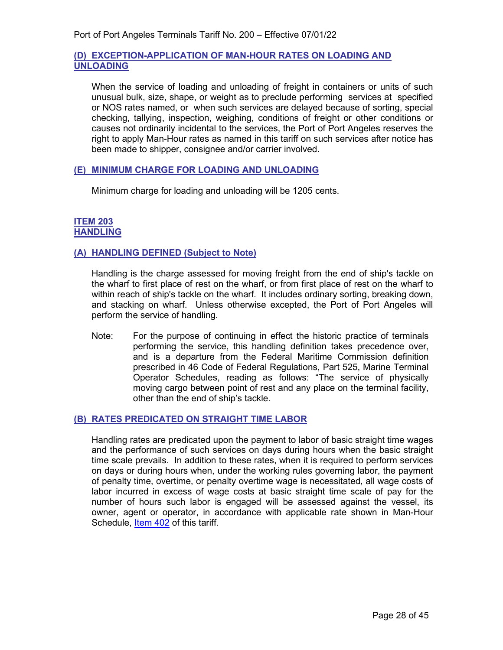#### <span id="page-27-0"></span>**(D) EXCEPTION-APPLICATION OF MAN-HOUR RATES ON LOADING AND UNLOADING**

When the service of loading and unloading of freight in containers or units of such unusual bulk, size, shape, or weight as to preclude performing services at specified or NOS rates named, or when such services are delayed because of sorting, special checking, tallying, inspection, weighing, conditions of freight or other conditions or causes not ordinarily incidental to the services, the Port of Port Angeles reserves the right to apply Man-Hour rates as named in this tariff on such services after notice has been made to shipper, consignee and/or carrier involved.

#### <span id="page-27-1"></span>**(E) MINIMUM CHARGE FOR LOADING AND UNLOADING**

Minimum charge for loading and unloading will be 1205 cents.

#### <span id="page-27-3"></span><span id="page-27-2"></span>**ITEM 203 HANDLING**

#### <span id="page-27-4"></span>**(A) HANDLING DEFINED (Subject to Note)**

Handling is the charge assessed for moving freight from the end of ship's tackle on the wharf to first place of rest on the wharf, or from first place of rest on the wharf to within reach of ship's tackle on the wharf. It includes ordinary sorting, breaking down, and stacking on wharf. Unless otherwise excepted, the Port of Port Angeles will perform the service of handling.

Note: For the purpose of continuing in effect the historic practice of terminals performing the service, this handling definition takes precedence over, and is a departure from the Federal Maritime Commission definition prescribed in 46 Code of Federal Regulations, Part 525, Marine Terminal Operator Schedules, reading as follows: "The service of physically moving cargo between point of rest and any place on the terminal facility, other than the end of ship's tackle.

#### <span id="page-27-5"></span>**(B) RATES PREDICATED ON STRAIGHT TIME LABOR**

Handling rates are predicated upon the payment to labor of basic straight time wages and the performance of such services on days during hours when the basic straight time scale prevails. In addition to these rates, when it is required to perform services on days or during hours when, under the working rules governing labor, the payment of penalty time, overtime, or penalty overtime wage is necessitated, all wage costs of labor incurred in excess of wage costs at basic straight time scale of pay for the number of hours such labor is engaged will be assessed against the vessel, its owner, agent or operator, in accordance with applicable rate shown in Man-Hour Schedule, [Item 402](#page-43-2) of this tariff.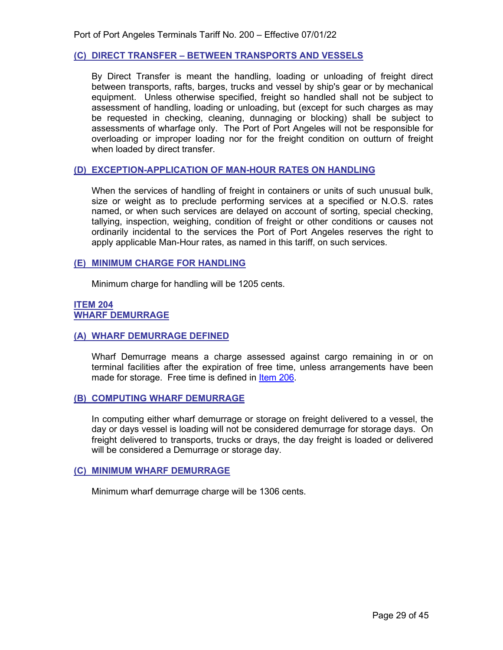#### <span id="page-28-0"></span>**(C) DIRECT TRANSFER – BETWEEN TRANSPORTS AND VESSELS**

By Direct Transfer is meant the handling, loading or unloading of freight direct between transports, rafts, barges, trucks and vessel by ship's gear or by mechanical equipment. Unless otherwise specified, freight so handled shall not be subject to assessment of handling, loading or unloading, but (except for such charges as may be requested in checking, cleaning, dunnaging or blocking) shall be subject to assessments of wharfage only. The Port of Port Angeles will not be responsible for overloading or improper loading nor for the freight condition on outturn of freight when loaded by direct transfer.

#### <span id="page-28-1"></span>**(D) EXCEPTION-APPLICATION OF MAN-HOUR RATES ON HANDLING**

When the services of handling of freight in containers or units of such unusual bulk, size or weight as to preclude performing services at a specified or N.O.S. rates named, or when such services are delayed on account of sorting, special checking, tallying, inspection, weighing, condition of freight or other conditions or causes not ordinarily incidental to the services the Port of Port Angeles reserves the right to apply applicable Man-Hour rates, as named in this tariff, on such services.

#### <span id="page-28-2"></span>**(E) MINIMUM CHARGE FOR HANDLING**

Minimum charge for handling will be 1205 cents.

#### <span id="page-28-4"></span><span id="page-28-3"></span>**ITEM 204 WHARF DEMURRAGE**

#### <span id="page-28-5"></span>**(A) WHARF DEMURRAGE DEFINED**

Wharf Demurrage means a charge assessed against cargo remaining in or on terminal facilities after the expiration of free time, unless arrangements have been made for storage. Free time is defined in [Item 206.](#page-29-2)

#### <span id="page-28-6"></span>**(B) COMPUTING WHARF DEMURRAGE**

In computing either wharf demurrage or storage on freight delivered to a vessel, the day or days vessel is loading will not be considered demurrage for storage days. On freight delivered to transports, trucks or drays, the day freight is loaded or delivered will be considered a Demurrage or storage day.

#### <span id="page-28-7"></span>**(C) MINIMUM WHARF DEMURRAGE**

<span id="page-28-8"></span>Minimum wharf demurrage charge will be 1306 cents.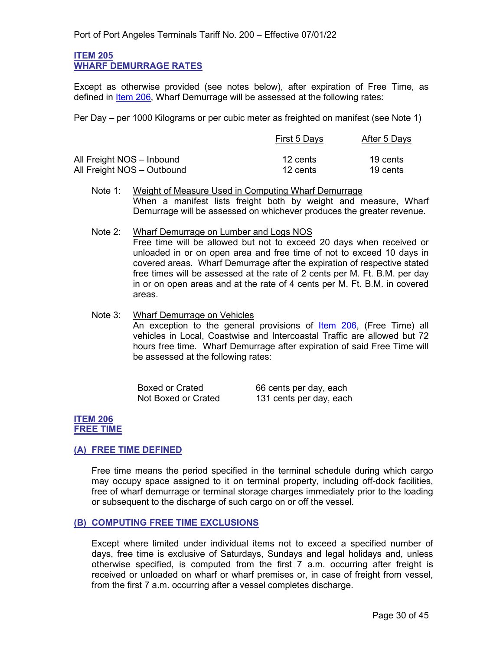#### <span id="page-29-0"></span>**ITEM 205 WHARF DEMURRAGE RATES**

Except as otherwise provided (see notes below), after expiration of Free Time, as defined in [Item 206,](#page-29-2) Wharf Demurrage will be assessed at the following rates:

Per Day – per 1000 Kilograms or per cubic meter as freighted on manifest (see Note 1)

|                            | First 5 Days | After 5 Days |
|----------------------------|--------------|--------------|
| All Freight NOS - Inbound  | 12 cents     | 19 cents     |
| All Freight NOS - Outbound | 12 cents     | 19 cents     |

- Note 1: Weight of Measure Used in Computing Wharf Demurrage When a manifest lists freight both by weight and measure, Wharf Demurrage will be assessed on whichever produces the greater revenue.
- Note 2: Wharf Demurrage on Lumber and Logs NOS Free time will be allowed but not to exceed 20 days when received or unloaded in or on open area and free time of not to exceed 10 days in covered areas. Wharf Demurrage after the expiration of respective stated free times will be assessed at the rate of 2 cents per M. Ft. B.M. per day in or on open areas and at the rate of 4 cents per M. Ft. B.M. in covered areas.
- Note 3: Wharf Demurrage on Vehicles An exception to the general provisions of **Item 206**, (Free Time) all vehicles in Local, Coastwise and Intercoastal Traffic are allowed but 72 hours free time. Wharf Demurrage after expiration of said Free Time will be assessed at the following rates:

| <b>Boxed or Crated</b> | 66 cents per day, each  |
|------------------------|-------------------------|
| Not Boxed or Crated    | 131 cents per day, each |

#### <span id="page-29-2"></span><span id="page-29-1"></span>**ITEM 206 FREE TIME**

#### <span id="page-29-3"></span>**(A) FREE TIME DEFINED**

Free time means the period specified in the terminal schedule during which cargo may occupy space assigned to it on terminal property, including off-dock facilities, free of wharf demurrage or terminal storage charges immediately prior to the loading or subsequent to the discharge of such cargo on or off the vessel.

#### <span id="page-29-4"></span>**(B) COMPUTING FREE TIME EXCLUSIONS**

Except where limited under individual items not to exceed a specified number of days, free time is exclusive of Saturdays, Sundays and legal holidays and, unless otherwise specified, is computed from the first 7 a.m. occurring after freight is received or unloaded on wharf or wharf premises or, in case of freight from vessel, from the first 7 a.m. occurring after a vessel completes discharge.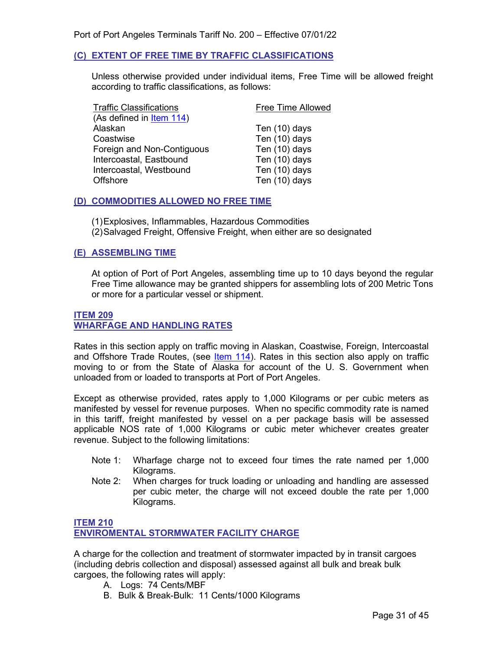#### <span id="page-30-0"></span>**(C) EXTENT OF FREE TIME BY TRAFFIC CLASSIFICATIONS**

Unless otherwise provided under individual items, Free Time will be allowed freight according to traffic classifications, as follows:

| <b>Traffic Classifications</b> | <b>Free Time Allowed</b> |
|--------------------------------|--------------------------|
| (As defined in Item 114)       |                          |
| Alaskan                        | Ten (10) days            |
| Coastwise                      | Ten (10) days            |
| Foreign and Non-Contiguous     | Ten (10) days            |
| Intercoastal, Eastbound        | Ten (10) days            |
| Intercoastal, Westbound        | Ten (10) days            |
| <b>Offshore</b>                | Ten (10) days            |
|                                |                          |

#### <span id="page-30-1"></span>**(D) COMMODITIES ALLOWED NO FREE TIME**

(1)Explosives, Inflammables, Hazardous Commodities (2)Salvaged Freight, Offensive Freight, when either are so designated

#### <span id="page-30-2"></span>**(E) ASSEMBLING TIME**

At option of Port of Port Angeles, assembling time up to 10 days beyond the regular Free Time allowance may be granted shippers for assembling lots of 200 Metric Tons or more for a particular vessel or shipment.

#### <span id="page-30-4"></span><span id="page-30-3"></span>**ITEM 209 WHARFAGE AND HANDLING RATES**

Rates in this section apply on traffic moving in Alaskan, Coastwise, Foreign, Intercoastal and Offshore Trade Routes, (see [Item 114\)](#page-19-5). Rates in this section also apply on traffic moving to or from the State of Alaska for account of the U. S. Government when unloaded from or loaded to transports at Port of Port Angeles.

Except as otherwise provided, rates apply to 1,000 Kilograms or per cubic meters as manifested by vessel for revenue purposes. When no specific commodity rate is named in this tariff, freight manifested by vessel on a per package basis will be assessed applicable NOS rate of 1,000 Kilograms or cubic meter whichever creates greater revenue. Subject to the following limitations:

- Note 1: Wharfage charge not to exceed four times the rate named per 1,000 Kilograms.
- Note 2: When charges for truck loading or unloading and handling are assessed per cubic meter, the charge will not exceed double the rate per 1,000 Kilograms.

#### **ITEM 210 ENVIROMENTAL STORMWATER FACILITY CHARGE**

A charge for the collection and treatment of stormwater impacted by in transit cargoes (including debris collection and disposal) assessed against all bulk and break bulk cargoes, the following rates will apply:

- A. Logs: 74 Cents/MBF
- B. Bulk & Break-Bulk: 11 Cents/1000 Kilograms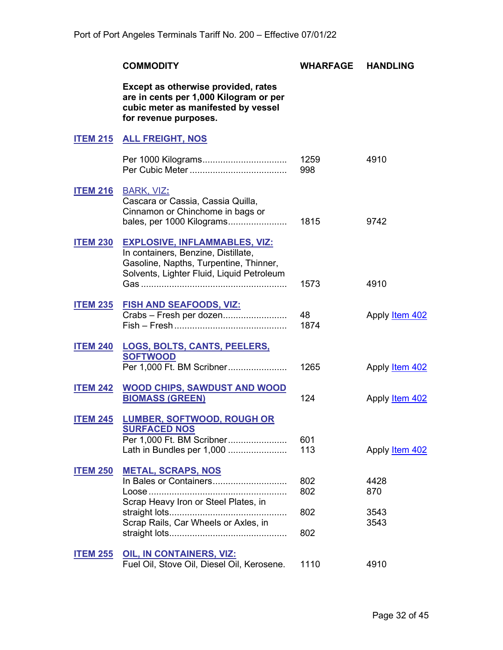<span id="page-31-14"></span><span id="page-31-13"></span><span id="page-31-12"></span><span id="page-31-11"></span><span id="page-31-10"></span><span id="page-31-9"></span><span id="page-31-8"></span><span id="page-31-7"></span><span id="page-31-6"></span><span id="page-31-5"></span><span id="page-31-4"></span><span id="page-31-3"></span><span id="page-31-2"></span><span id="page-31-1"></span><span id="page-31-0"></span>

|                 | <b>COMMODITY</b>                                                                                                                                                            | WHARFAGE    | <b>HANDLING</b>       |
|-----------------|-----------------------------------------------------------------------------------------------------------------------------------------------------------------------------|-------------|-----------------------|
|                 | Except as otherwise provided, rates<br>are in cents per 1,000 Kilogram or per<br>cubic meter as manifested by vessel<br>for revenue purposes.                               |             |                       |
|                 | <b>ITEM 215 ALL FREIGHT, NOS</b>                                                                                                                                            |             |                       |
|                 |                                                                                                                                                                             | 1259<br>998 | 4910                  |
|                 | <b>ITEM 216 BARK, VIZ:</b><br>Cascara or Cassia, Cassia Quilla,<br>Cinnamon or Chinchome in bags or<br>bales, per 1000 Kilograms                                            | 1815        | 9742                  |
|                 | <b>ITEM 230 EXPLOSIVE, INFLAMMABLES, VIZ:</b><br>In containers, Benzine, Distillate,<br>Gasoline, Napths, Turpentine, Thinner,<br>Solvents, Lighter Fluid, Liquid Petroleum | 1573        | 4910                  |
| <b>ITEM 235</b> | <b>FISH AND SEAFOODS, VIZ:</b><br>Crabs - Fresh per dozen                                                                                                                   | 48<br>1874  | Apply <b>Item 402</b> |
|                 | ITEM 240 LOGS, BOLTS, CANTS, PEELERS,<br><b>SOFTWOOD</b><br>Per 1,000 Ft. BM Scribner                                                                                       | 1265        | Apply <b>Item 402</b> |
| <b>ITEM 242</b> | <b>WOOD CHIPS, SAWDUST AND WOOD</b><br><b>BIOMASS (GREEN)</b>                                                                                                               | 124         | Apply <b>Item 402</b> |
| <b>ITEM 245</b> | <b>LUMBER, SOFTWOOD, ROUGH OR</b><br><b>SURFACED NOS</b><br>Per 1,000 Ft. BM Scribner<br>Lath in Bundles per 1,000                                                          | 601<br>113  | Apply <b>Item 402</b> |
| <b>ITEM 250</b> | <b>METAL, SCRAPS, NOS</b><br>Scrap Heavy Iron or Steel Plates, in                                                                                                           | 802<br>802  | 4428<br>870           |
|                 | Scrap Rails, Car Wheels or Axles, in                                                                                                                                        | 802<br>802  | 3543<br>3543          |
| <b>ITEM 255</b> | <b>OIL, IN CONTAINERS, VIZ:</b><br>Fuel Oil, Stove Oil, Diesel Oil, Kerosene.                                                                                               | 1110        | 4910                  |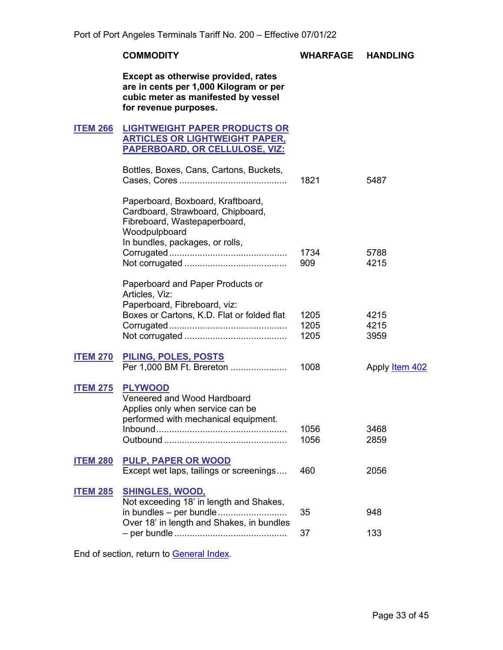#### **COMMODITY WHARFAGE HANDLING**

**Except as otherwise provided, rates are in cents per 1,000 Kilogram or per cubic meter as manifested by vessel for revenue purposes.**

#### <span id="page-32-1"></span><span id="page-32-0"></span>**ITEM 266 LIGHTWEIGHT PAPER PRODUCTS OR ARTICLES OR LIGHTWEIGHT PAPER, PAPERBOARD, OR CELLULOSE, VIZ:**

<span id="page-32-3"></span><span id="page-32-2"></span>

|                 | Bottles, Boxes, Cans, Cartons, Buckets,                                                                                                                    | 1821                 | 5487                  |
|-----------------|------------------------------------------------------------------------------------------------------------------------------------------------------------|----------------------|-----------------------|
|                 | Paperboard, Boxboard, Kraftboard,<br>Cardboard, Strawboard, Chipboard,<br>Fibreboard, Wastepaperboard,<br>Woodpulpboard<br>In bundles, packages, or rolls, |                      |                       |
|                 |                                                                                                                                                            | 1734<br>909          | 5788<br>4215          |
|                 | Paperboard and Paper Products or<br>Articles, Viz:<br>Paperboard, Fibreboard, viz:                                                                         |                      |                       |
|                 | Boxes or Cartons, K.D. Flat or folded flat                                                                                                                 | 1205<br>1205<br>1205 | 4215<br>4215<br>3959  |
| <b>ITEM 270</b> | PILING, POLES, POSTS<br>Per 1,000 BM Ft. Brereton                                                                                                          | 1008                 | Apply <b>Item 402</b> |
| <b>ITEM 275</b> | <b>PLYWOOD</b><br>Veneered and Wood Hardboard<br>Applies only when service can be<br>performed with mechanical equipment.                                  | 1056<br>1056         | 3468<br>2859          |
| <b>ITEM 280</b> | <b>PULP, PAPER OR WOOD</b><br>Except wet laps, tailings or screenings                                                                                      | 460                  | 2056                  |
| <b>ITEM 285</b> | <b>SHINGLES, WOOD,</b><br>Not exceeding 18' in length and Shakes,<br>in bundles - per bundle                                                               | 35                   | 948                   |
|                 | Over 18' in length and Shakes, in bundles                                                                                                                  | 37                   | 133                   |

<span id="page-32-9"></span><span id="page-32-8"></span><span id="page-32-7"></span><span id="page-32-6"></span><span id="page-32-5"></span><span id="page-32-4"></span>End of section, return to [General Index.](#page-3-0)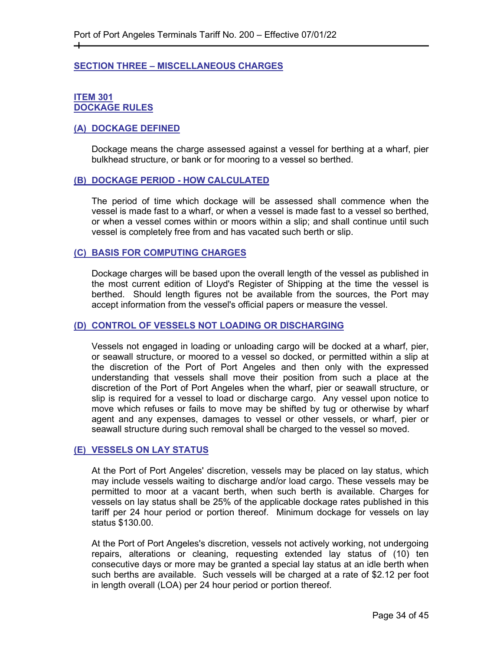#### <span id="page-33-0"></span>**SECTION THREE – MISCELLANEOUS CHARGES**

#### <span id="page-33-2"></span><span id="page-33-1"></span>**ITEM 301 DOCKAGE RULES**

┿

#### <span id="page-33-3"></span>**(A) DOCKAGE DEFINED**

Dockage means the charge assessed against a vessel for berthing at a wharf, pier bulkhead structure, or bank or for mooring to a vessel so berthed.

#### <span id="page-33-4"></span>**(B) DOCKAGE PERIOD - HOW CALCULATED**

The period of time which dockage will be assessed shall commence when the vessel is made fast to a wharf, or when a vessel is made fast to a vessel so berthed, or when a vessel comes within or moors within a slip; and shall continue until such vessel is completely free from and has vacated such berth or slip.

#### <span id="page-33-5"></span>**(C) BASIS FOR COMPUTING CHARGES**

Dockage charges will be based upon the overall length of the vessel as published in the most current edition of Lloyd's Register of Shipping at the time the vessel is berthed. Should length figures not be available from the sources, the Port may accept information from the vessel's official papers or measure the vessel.

#### <span id="page-33-6"></span>**(D) CONTROL OF VESSELS NOT LOADING OR DISCHARGING**

Vessels not engaged in loading or unloading cargo will be docked at a wharf, pier, or seawall structure, or moored to a vessel so docked, or permitted within a slip at the discretion of the Port of Port Angeles and then only with the expressed understanding that vessels shall move their position from such a place at the discretion of the Port of Port Angeles when the wharf, pier or seawall structure, or slip is required for a vessel to load or discharge cargo. Any vessel upon notice to move which refuses or fails to move may be shifted by tug or otherwise by wharf agent and any expenses, damages to vessel or other vessels, or wharf, pier or seawall structure during such removal shall be charged to the vessel so moved.

#### <span id="page-33-7"></span>**(E) VESSELS ON LAY STATUS**

At the Port of Port Angeles' discretion, vessels may be placed on lay status, which may include vessels waiting to discharge and/or load cargo. These vessels may be permitted to moor at a vacant berth, when such berth is available. Charges for vessels on lay status shall be 25% of the applicable dockage rates published in this tariff per 24 hour period or portion thereof. Minimum dockage for vessels on lay status \$130.00.

At the Port of Port Angeles's discretion, vessels not actively working, not undergoing repairs, alterations or cleaning, requesting extended lay status of (10) ten consecutive days or more may be granted a special lay status at an idle berth when such berths are available. Such vessels will be charged at a rate of \$2.12 per foot in length overall (LOA) per 24 hour period or portion thereof.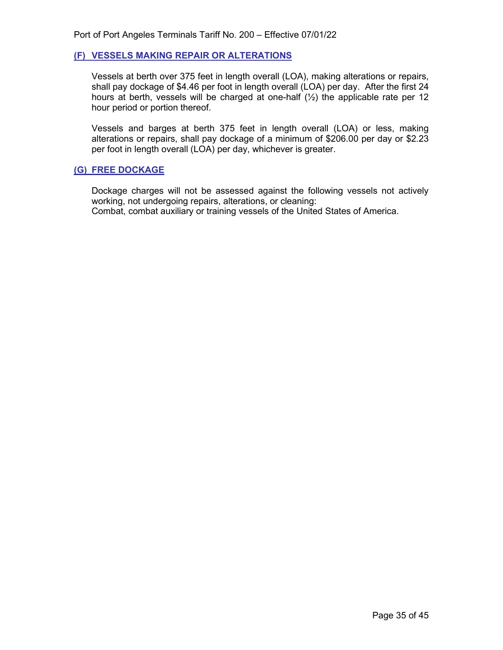#### <span id="page-34-0"></span>**(F) VESSELS MAKING REPAIR OR ALTERATIONS**

Vessels at berth over 375 feet in length overall (LOA), making alterations or repairs, shall pay dockage of \$4.46 per foot in length overall (LOA) per day. After the first 24 hours at berth, vessels will be charged at one-half  $(1/2)$  the applicable rate per 12 hour period or portion thereof.

Vessels and barges at berth 375 feet in length overall (LOA) or less, making alterations or repairs, shall pay dockage of a minimum of \$206.00 per day or \$2.23 per foot in length overall (LOA) per day, whichever is greater.

#### <span id="page-34-1"></span>**(G) FREE DOCKAGE**

<span id="page-34-2"></span>Dockage charges will not be assessed against the following vessels not actively working, not undergoing repairs, alterations, or cleaning: Combat, combat auxiliary or training vessels of the United States of America.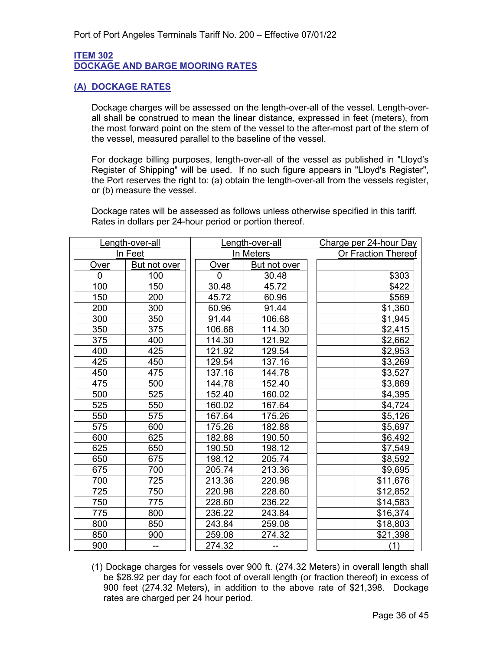#### <span id="page-35-0"></span>**ITEM 302 DOCKAGE AND BARGE MOORING RATES**

#### <span id="page-35-1"></span>**(A) DOCKAGE RATES**

Dockage charges will be assessed on the length-over-all of the vessel. Length-overall shall be construed to mean the linear distance, expressed in feet (meters), from the most forward point on the stem of the vessel to the after-most part of the stern of the vessel, measured parallel to the baseline of the vessel.

For dockage billing purposes, length-over-all of the vessel as published in "Lloyd's Register of Shipping" will be used. If no such figure appears in "Lloyd's Register", the Port reserves the right to: (a) obtain the length-over-all from the vessels register, or (b) measure the vessel.

Dockage rates will be assessed as follows unless otherwise specified in this tariff. Rates in dollars per 24-hour period or portion thereof.

|          | Length-over-all | Length-over-all |              | Charge per 24-hour Day |  |
|----------|-----------------|-----------------|--------------|------------------------|--|
|          | In Feet         | In Meters       |              | Or Fraction Thereof    |  |
| Over     | But not over    | Over            | But not over |                        |  |
| $\Omega$ | 100             | $\mathbf{0}$    | 30.48        | \$303                  |  |
| 100      | 150             | 30.48           | 45.72        | \$422                  |  |
| 150      | 200             | 45.72           | 60.96        | \$569                  |  |
| 200      | 300             | 60.96           | 91.44        | \$1,360                |  |
| 300      | 350             | 91.44           | 106.68       | \$1,945                |  |
| 350      | 375             | 106.68          | 114.30       | \$2,415                |  |
| 375      | 400             | 114.30          | 121.92       | \$2,662                |  |
| 400      | 425             | 121.92          | 129.54       | \$2,953                |  |
| 425      | 450             | 129.54          | 137.16       | \$3,269                |  |
| 450      | 475             | 137.16          | 144.78       | \$3,527                |  |
| 475      | 500             | 144.78          | 152.40       | \$3,869                |  |
| 500      | 525             | 152.40          | 160.02       | \$4,395                |  |
| 525      | 550             | 160.02          | 167.64       | \$4,724                |  |
| 550      | 575             | 167.64          | 175.26       | \$5,126                |  |
| 575      | 600             | 175.26          | 182.88       | \$5,697                |  |
| 600      | 625             | 182.88          | 190.50       | \$6,492                |  |
| 625      | 650             | 190.50          | 198.12       | \$7,549                |  |
| 650      | 675             | 198.12          | 205.74       | \$8,592                |  |
| 675      | 700             | 205.74          | 213.36       | \$9,695                |  |
| 700      | 725             | 213.36          | 220.98       | \$11,676               |  |
| 725      | 750             | 220.98          | 228.60       | \$12,852               |  |
| 750      | 775             | 228.60          | 236.22       | \$14,583               |  |
| 775      | 800             | 236.22          | 243.84       | \$16,374               |  |
| 800      | 850             | 243.84          | 259.08       | \$18,803               |  |
| 850      | 900             | 259.08          | 274.32       | \$21,398               |  |
| 900      |                 | 274.32          |              | (1)                    |  |

(1) Dockage charges for vessels over 900 ft. (274.32 Meters) in overall length shall be \$28.92 per day for each foot of overall length (or fraction thereof) in excess of 900 feet (274.32 Meters), in addition to the above rate of \$21,398. Dockage rates are charged per 24 hour period.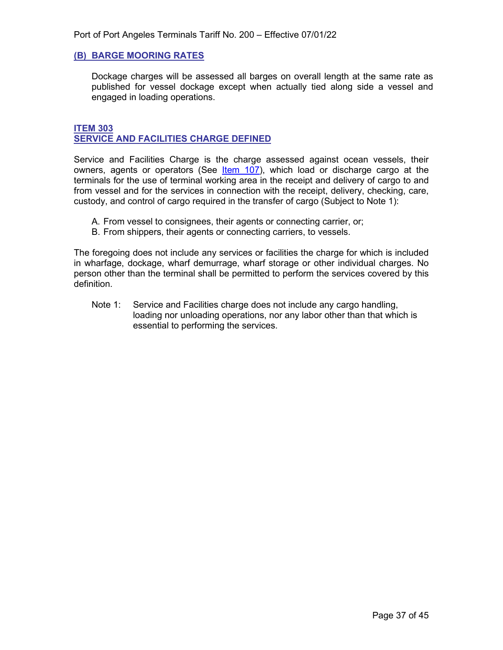#### <span id="page-36-0"></span>**(B) BARGE MOORING RATES**

Dockage charges will be assessed all barges on overall length at the same rate as published for vessel dockage except when actually tied along side a vessel and engaged in loading operations.

#### <span id="page-36-2"></span><span id="page-36-1"></span>**ITEM 303 SERVICE AND FACILITIES CHARGE DEFINED**

Service and Facilities Charge is the charge assessed against ocean vessels, their owners, agents or operators (See *[Item](#page-12-5) 107)*, which load or discharge cargo at the terminals for the use of terminal working area in the receipt and delivery of cargo to and from vessel and for the services in connection with the receipt, delivery, checking, care, custody, and control of cargo required in the transfer of cargo (Subject to Note 1):

- A. From vessel to consignees, their agents or connecting carrier, or;
- B. From shippers, their agents or connecting carriers, to vessels.

The foregoing does not include any services or facilities the charge for which is included in wharfage, dockage, wharf demurrage, wharf storage or other individual charges. No person other than the terminal shall be permitted to perform the services covered by this definition.

Note 1: Service and Facilities charge does not include any cargo handling, loading nor unloading operations, nor any labor other than that which is essential to performing the services.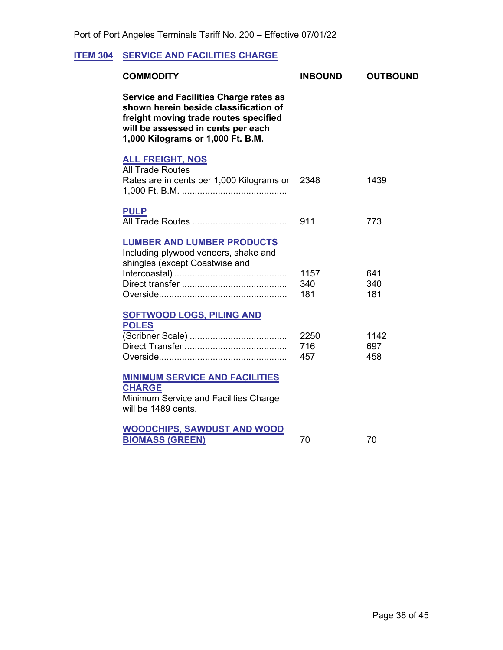# <span id="page-37-1"></span>**ITEM 304 SERVICE AND FACILITIES CHARGE**

<span id="page-37-4"></span><span id="page-37-3"></span><span id="page-37-2"></span><span id="page-37-0"></span>

| <b>COMMODITY</b>                                                                                                                                                                                           | <b>INBOUND</b>     | <b>OUTBOUND</b>    |
|------------------------------------------------------------------------------------------------------------------------------------------------------------------------------------------------------------|--------------------|--------------------|
| <b>Service and Facilities Charge rates as</b><br>shown herein beside classification of<br>freight moving trade routes specified<br>will be assessed in cents per each<br>1,000 Kilograms or 1,000 Ft. B.M. |                    |                    |
| <b>ALL FREIGHT, NOS</b><br><b>All Trade Routes</b><br>Rates are in cents per 1,000 Kilograms or                                                                                                            | 2348               | 1439               |
| <b>PULP</b>                                                                                                                                                                                                | 911                | 773                |
| <b>LUMBER AND LUMBER PRODUCTS</b><br>Including plywood veneers, shake and<br>shingles (except Coastwise and                                                                                                | 1157<br>340<br>181 | 641<br>340<br>181  |
| <b>SOFTWOOD LOGS, PILING AND</b><br><b>POLES</b>                                                                                                                                                           | 2250<br>716<br>457 | 1142<br>697<br>458 |
| <b>MINIMUM SERVICE AND FACILITIES</b><br><b>CHARGE</b><br>Minimum Service and Facilities Charge<br>will be 1489 cents.                                                                                     |                    |                    |
| <b>WOODCHIPS, SAWDUST AND WOOD</b><br><b>BIOMASS (GREEN)</b>                                                                                                                                               | 70                 | 70                 |
|                                                                                                                                                                                                            |                    |                    |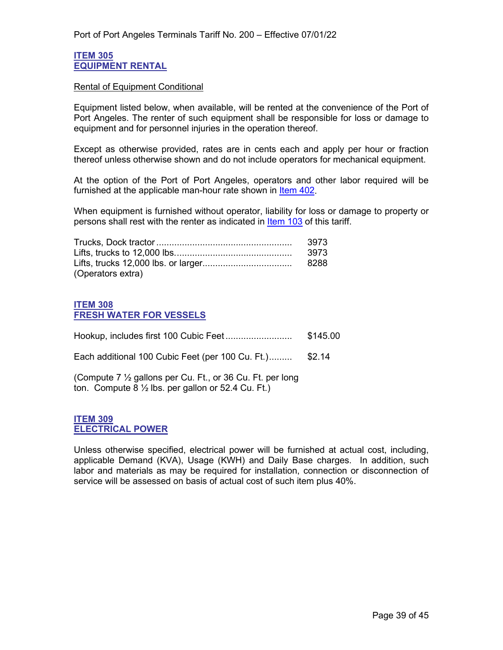#### <span id="page-38-1"></span><span id="page-38-0"></span>**ITEM 305 EQUIPMENT RENTAL**

#### Rental of Equipment Conditional

Equipment listed below, when available, will be rented at the convenience of the Port of Port Angeles. The renter of such equipment shall be responsible for loss or damage to equipment and for personnel injuries in the operation thereof.

Except as otherwise provided, rates are in cents each and apply per hour or fraction thereof unless otherwise shown and do not include operators for mechanical equipment.

At the option of the Port of Port Angeles, operators and other labor required will be furnished at the applicable man-hour rate shown in [Item 402.](#page-43-2)

When equipment is furnished without operator, liability for loss or damage to property or persons shall rest with the renter as indicated in [Item 103](#page-10-1) of this tariff.

|                   | 3973 |
|-------------------|------|
|                   | 3973 |
|                   |      |
| (Operators extra) |      |

#### <span id="page-38-3"></span><span id="page-38-2"></span>**ITEM 308 FRESH WATER FOR VESSELS**

|                                                                                                                            | \$145.00 |
|----------------------------------------------------------------------------------------------------------------------------|----------|
| Each additional 100 Cubic Feet (per 100 Cu. Ft.)                                                                           | \$2.14   |
| (Compute 7 1/2 gallons per Cu. Ft., or 36 Cu. Ft. per long<br>ton. Compute $8\frac{1}{2}$ lbs. per gallon or 52.4 Cu. Ft.) |          |

#### <span id="page-38-5"></span><span id="page-38-4"></span>**ITEM 309 ELECTRICAL POWER**

Unless otherwise specified, electrical power will be furnished at actual cost, including, applicable Demand (KVA), Usage (KWH) and Daily Base charges. In addition, such labor and materials as may be required for installation, connection or disconnection of service will be assessed on basis of actual cost of such item plus 40%.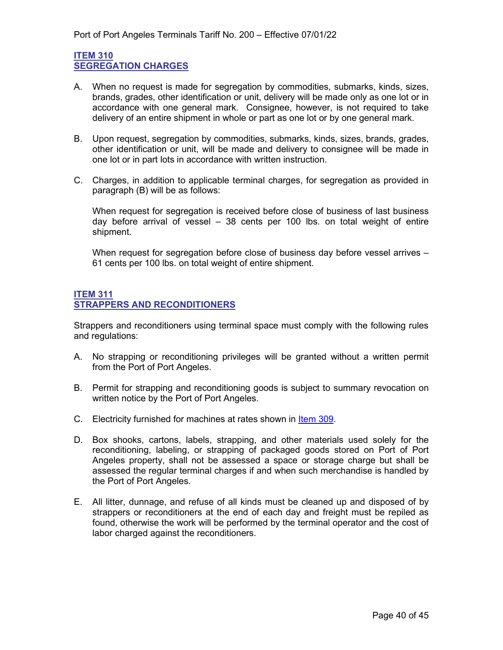#### <span id="page-39-1"></span><span id="page-39-0"></span>**ITEM 310 SEGREGATION CHARGES**

- A. When no request is made for segregation by commodities, submarks, kinds, sizes, brands, grades, other identification or unit, delivery will be made only as one lot or in accordance with one general mark. Consignee, however, is not required to take delivery of an entire shipment in whole or part as one lot or by one general mark.
- B. Upon request, segregation by commodities, submarks, kinds, sizes, brands, grades, other identification or unit, will be made and delivery to consignee will be made in one lot or in part lots in accordance with written instruction.
- C. Charges, in addition to applicable terminal charges, for segregation as provided in paragraph (B) will be as follows:

When request for segregation is received before close of business of last business day before arrival of vessel – 38 cents per 100 lbs. on total weight of entire shipment.

When request for segregation before close of business day before vessel arrives -61 cents per 100 lbs. on total weight of entire shipment.

#### <span id="page-39-3"></span><span id="page-39-2"></span>**ITEM 311 STRAPPERS AND RECONDITIONERS**

Strappers and reconditioners using terminal space must comply with the following rules and regulations:

- A. No strapping or reconditioning privileges will be granted without a written permit from the Port of Port Angeles.
- B. Permit for strapping and reconditioning goods is subject to summary revocation on written notice by the Port of Port Angeles.
- C. Electricity furnished for machines at rates shown in [Item 309.](#page-38-5)
- D. Box shooks, cartons, labels, strapping, and other materials used solely for the reconditioning, labeling, or strapping of packaged goods stored on Port of Port Angeles property, shall not be assessed a space or storage charge but shall be assessed the regular terminal charges if and when such merchandise is handled by the Port of Port Angeles.
- E. All litter, dunnage, and refuse of all kinds must be cleaned up and disposed of by strappers or reconditioners at the end of each day and freight must be repiled as found, otherwise the work will be performed by the terminal operator and the cost of labor charged against the reconditioners.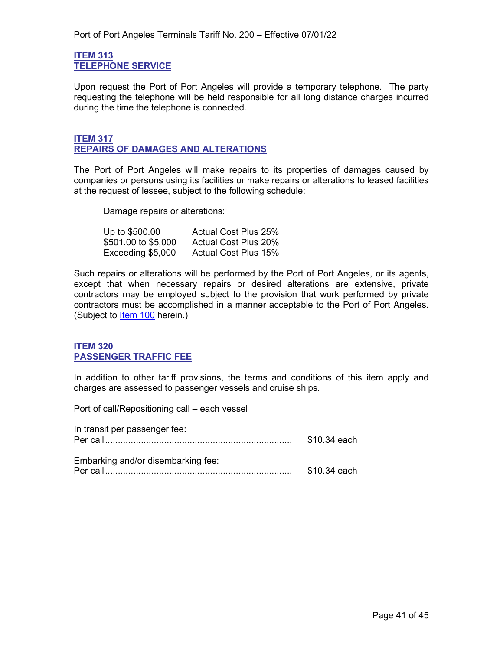#### <span id="page-40-1"></span><span id="page-40-0"></span>**ITEM 313 TELEPHONE SERVICE**

Upon request the Port of Port Angeles will provide a temporary telephone. The party requesting the telephone will be held responsible for all long distance charges incurred during the time the telephone is connected.

#### <span id="page-40-3"></span><span id="page-40-2"></span>**ITEM 317 REPAIRS OF DAMAGES AND ALTERATIONS**

The Port of Port Angeles will make repairs to its properties of damages caused by companies or persons using its facilities or make repairs or alterations to leased facilities at the request of lessee, subject to the following schedule:

Damage repairs or alterations:

| Up to \$500.00      | <b>Actual Cost Plus 25%</b> |
|---------------------|-----------------------------|
| \$501.00 to \$5,000 | <b>Actual Cost Plus 20%</b> |
| Exceeding \$5,000   | <b>Actual Cost Plus 15%</b> |

Such repairs or alterations will be performed by the Port of Port Angeles, or its agents, except that when necessary repairs or desired alterations are extensive, private contractors may be employed subject to the provision that work performed by private contractors must be accomplished in a manner acceptable to the Port of Port Angeles. (Subject to [Item 100](#page-8-2) herein.)

#### <span id="page-40-5"></span><span id="page-40-4"></span>**ITEM 320 PASSENGER TRAFFIC FEE**

In addition to other tariff provisions, the terms and conditions of this item apply and charges are assessed to passenger vessels and cruise ships.

Port of call/Repositioning call – each vessel

| In transit per passenger fee:      | \$10.34 each |
|------------------------------------|--------------|
| Embarking and/or disembarking fee: | \$10.34 each |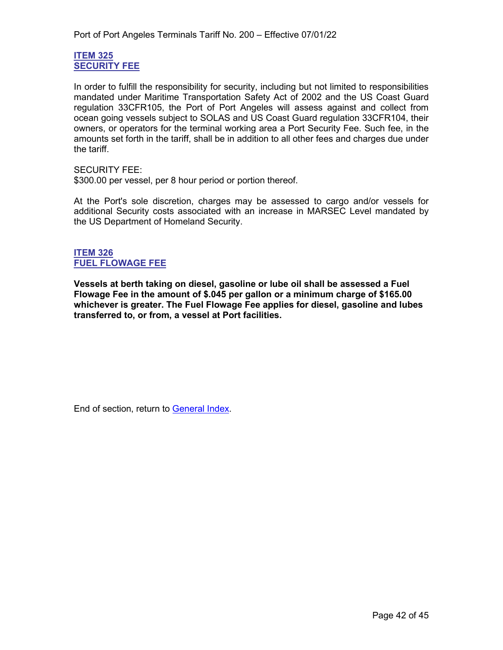#### <span id="page-41-1"></span><span id="page-41-0"></span>**ITEM 325 SECURITY FEE**

In order to fulfill the responsibility for security, including but not limited to responsibilities mandated under Maritime Transportation Safety Act of 2002 and the US Coast Guard regulation 33CFR105, the Port of Port Angeles will assess against and collect from ocean going vessels subject to SOLAS and US Coast Guard regulation 33CFR104, their owners, or operators for the terminal working area a Port Security Fee. Such fee, in the amounts set forth in the tariff, shall be in addition to all other fees and charges due under the tariff.

SECURITY FEE:

\$300.00 per vessel, per 8 hour period or portion thereof.

At the Port's sole discretion, charges may be assessed to cargo and/or vessels for additional Security costs associated with an increase in MARSEC Level mandated by the US Department of Homeland Security.

#### **ITEM 326 FUEL FLOWAGE FEE**

**Vessels at berth taking on diesel, gasoline or lube oil shall be assessed a Fuel Flowage Fee in the amount of \$.045 per gallon or a minimum charge of \$165.00 whichever is greater. The Fuel Flowage Fee applies for diesel, gasoline and lubes transferred to, or from, a vessel at Port facilities.**

End of section, return to [General Index.](#page-3-0)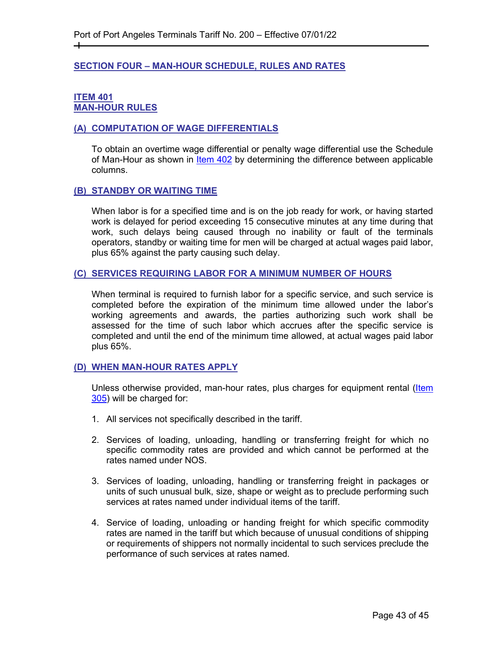#### <span id="page-42-0"></span>**SECTION FOUR – MAN-HOUR SCHEDULE, RULES AND RATES**

#### <span id="page-42-2"></span><span id="page-42-1"></span>**ITEM 401 MAN-HOUR RULES**

┿

#### <span id="page-42-3"></span>**(A) COMPUTATION OF WAGE DIFFERENTIALS**

To obtain an overtime wage differential or penalty wage differential use the Schedule of Man-Hour as shown in Item 402 by determining the difference between applicable columns.

#### <span id="page-42-4"></span>**(B) STANDBY OR WAITING TIME**

When labor is for a specified time and is on the job ready for work, or having started work is delayed for period exceeding 15 consecutive minutes at any time during that work, such delays being caused through no inability or fault of the terminals operators, standby or waiting time for men will be charged at actual wages paid labor, plus 65% against the party causing such delay.

#### <span id="page-42-5"></span>**(C) SERVICES REQUIRING LABOR FOR A MINIMUM NUMBER OF HOURS**

When terminal is required to furnish labor for a specific service, and such service is completed before the expiration of the minimum time allowed under the labor's working agreements and awards, the parties authorizing such work shall be assessed for the time of such labor which accrues after the specific service is completed and until the end of the minimum time allowed, at actual wages paid labor plus 65%.

#### <span id="page-42-6"></span>**(D) WHEN MAN-HOUR RATES APPLY**

Unless otherwise provided, man-hour rates, plus charges for equipment rental (Item 305) will be charged for:

- 1. All services not specifically described in the tariff.
- 2. Services of loading, unloading, handling or transferring freight for which no specific commodity rates are provided and which cannot be performed at the rates named under NOS.
- 3. Services of loading, unloading, handling or transferring freight in packages or units of such unusual bulk, size, shape or weight as to preclude performing such services at rates named under individual items of the tariff.
- 4. Service of loading, unloading or handing freight for which specific commodity rates are named in the tariff but which because of unusual conditions of shipping or requirements of shippers not normally incidental to such services preclude the performance of such services at rates named.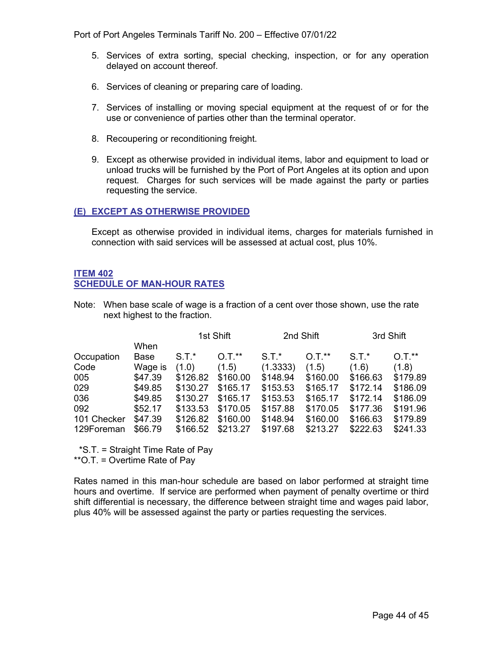Port of Port Angeles Terminals Tariff No. 200 – Effective 07/01/22

- 5. Services of extra sorting, special checking, inspection, or for any operation delayed on account thereof.
- 6. Services of cleaning or preparing care of loading.
- 7. Services of installing or moving special equipment at the request of or for the use or convenience of parties other than the terminal operator.
- 8. Recoupering or reconditioning freight.
- 9. Except as otherwise provided in individual items, labor and equipment to load or unload trucks will be furnished by the Port of Port Angeles at its option and upon request. Charges for such services will be made against the party or parties requesting the service.

#### <span id="page-43-0"></span>**(E) EXCEPT AS OTHERWISE PROVIDED**

Except as otherwise provided in individual items, charges for materials furnished in connection with said services will be assessed at actual cost, plus 10%.

#### <span id="page-43-2"></span><span id="page-43-1"></span>**ITEM 402 SCHEDULE OF MAN-HOUR RATES**

Note: When base scale of wage is a fraction of a cent over those shown, use the rate next highest to the fraction.

|             |         | 1st Shift |          | 2nd Shift |          | 3rd Shift |          |
|-------------|---------|-----------|----------|-----------|----------|-----------|----------|
|             | When    |           |          |           |          |           |          |
| Occupation  | Base    | $S.T.*$   | $0.7.*$  | $S.T.*$   | $0.7.*$  | $S.T.*$   | $0.7.*$  |
| Code        | Wage is | (1.0)     | (1.5)    | (1.3333)  | (1.5)    | (1.6)     | (1.8)    |
| 005         | \$47.39 | \$126.82  | \$160.00 | \$148.94  | \$160.00 | \$166.63  | \$179.89 |
| 029         | \$49.85 | \$130.27  | \$165.17 | \$153.53  | \$165.17 | \$172.14  | \$186.09 |
| 036         | \$49.85 | \$130.27  | \$165.17 | \$153.53  | \$165.17 | \$172.14  | \$186.09 |
| 092         | \$52.17 | \$133.53  | \$170.05 | \$157.88  | \$170.05 | \$177.36  | \$191.96 |
| 101 Checker | \$47.39 | \$126.82  | \$160.00 | \$148.94  | \$160.00 | \$166.63  | \$179.89 |
| 129Foreman  | \$66.79 | \$166.52  | \$213.27 | \$197.68  | \$213.27 | \$222.63  | \$241.33 |

\*S.T. = Straight Time Rate of Pay

\*\*O.T. = Overtime Rate of Pay

Rates named in this man-hour schedule are based on labor performed at straight time hours and overtime. If service are performed when payment of penalty overtime or third shift differential is necessary, the difference between straight time and wages paid labor, plus 40% will be assessed against the party or parties requesting the services.